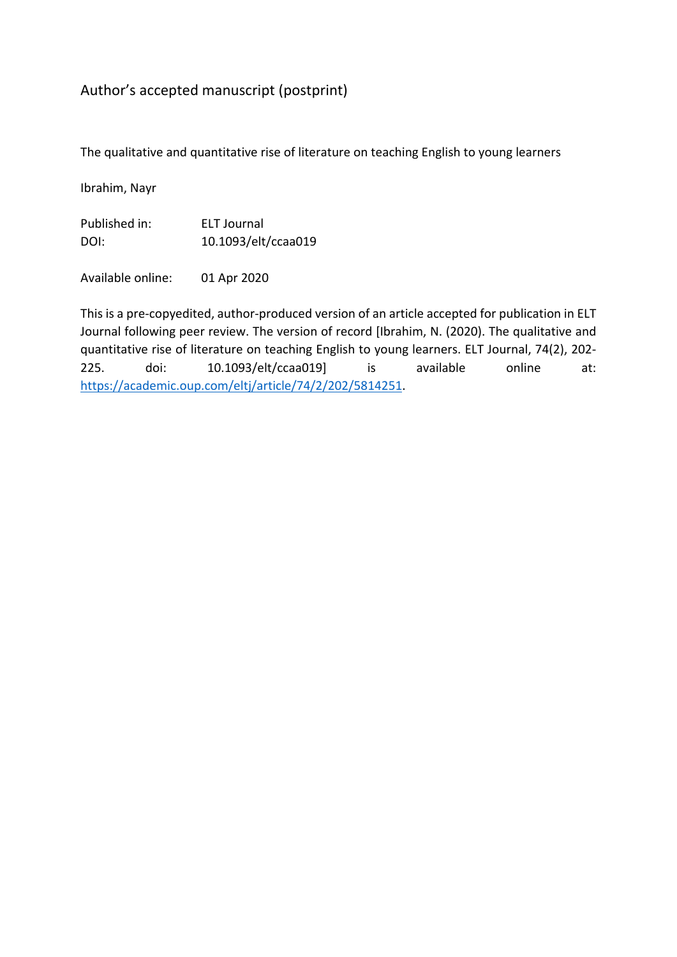# Author's accepted manuscript (postprint)

The qualitative and quantitative rise of literature on teaching English to young learners

Ibrahim, Nayr

Published in: ELT Journal DOI: 10.1093/elt/ccaa019

Available online: 01 Apr 2020

This is a pre-copyedited, author-produced version of an article accepted for publication in ELT Journal following peer review. The version of record [Ibrahim, N. (2020). The qualitative and quantitative rise of literature on teaching English to young learners. ELT Journal, 74(2), 202- 225. doi: 10.1093/elt/ccaa019] is available online at: [https://academic.oup.com/eltj/article/74/2/202/5814251.](https://academic.oup.com/eltj/article/74/2/202/5814251)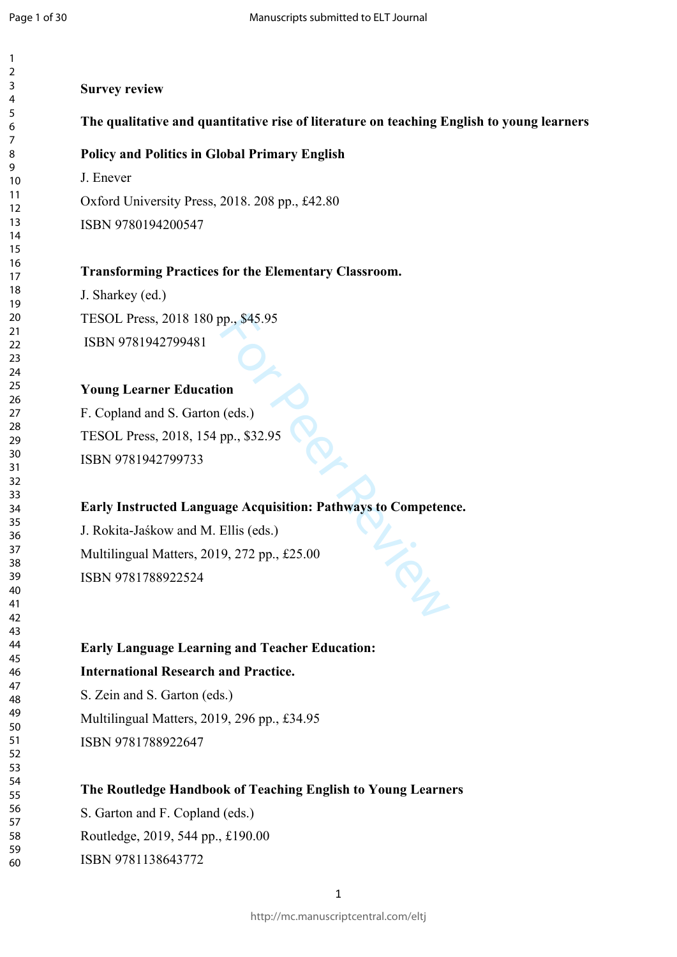# **Survey review**

# **The qualitative and quantitative rise of literature on teaching English to young learners**

## **Policy and Politics in Global Primary English**

J. Enever Oxford University Press, 2018. 208 pp., £42.80 ISBN 9780194200547

# **Transforming Practices for the Elementary Classroom.**

J. Sharkey (ed.) TESOL Press, 2018 180 pp., \$45.95 ISBN 9781942799481

## **Young Learner Education**

F. Copland and S. Garton (eds.) TESOL Press, 2018, 154 pp., \$32.95 ISBN 9781942799733

# **Early Instructed Language Acquisition: Pathways to Competence.**

pp., \$45.95<br> **on**<br>
(eds.)<br>
pp., \$32.95<br>
age Acquisition: Pathways to Competen<br>
Ellis (eds.)<br>
9, 272 pp., £25.00 J. Rokita-Jaśkow and M. Ellis (eds.) Multilingual Matters, 2019, 272 pp., £25.00 ISBN 9781788922524

# **Early Language Learning and Teacher Education: International Research and Practice.**

S. Zein and S. Garton (eds.) Multilingual Matters, 2019, 296 pp., £34.95 ISBN 9781788922647

# **The Routledge Handbook of Teaching English to Young Learners**

S. Garton and F. Copland (eds.) Routledge, 2019, 544 pp., £190.00 ISBN 9781138643772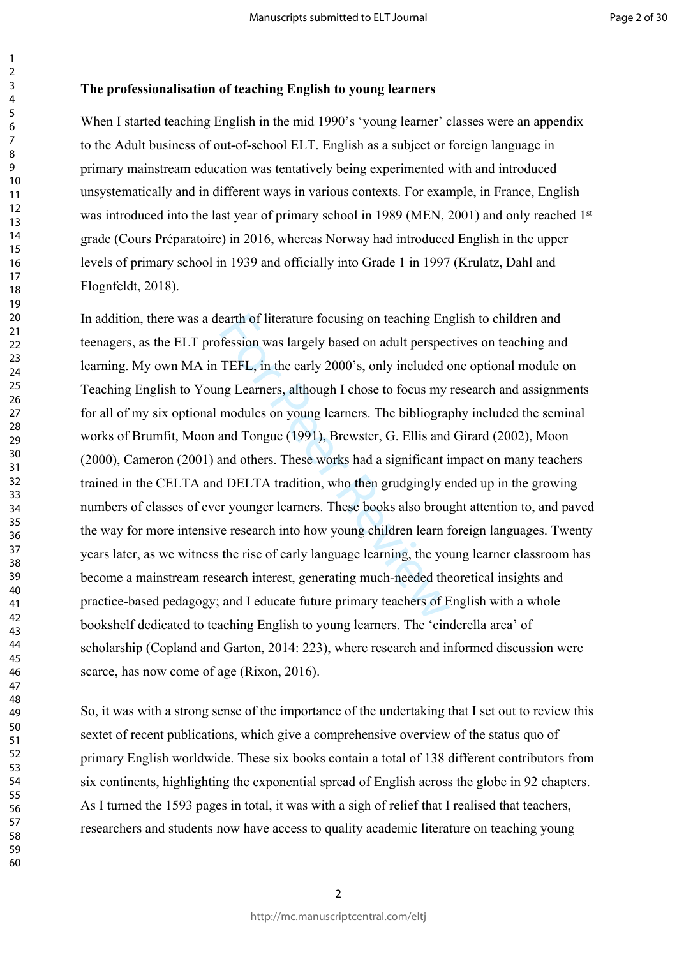### **The professionalisation of teaching English to young learners**

When I started teaching English in the mid 1990's 'young learner' classes were an appendix to the Adult business of out-of-school ELT. English as a subject or foreign language in primary mainstream education was tentatively being experimented with and introduced unsystematically and in different ways in various contexts. For example, in France, English was introduced into the last year of primary school in 1989 (MEN, 2001) and only reached 1st grade (Cours Préparatoire) in 2016, whereas Norway had introduced English in the upper levels of primary school in 1939 and officially into Grade 1 in 1997 (Krulatz, Dahl and Flognfeldt, 2018).

earth of literature focusing on teaching Eng<br>fession was largely based on adult perspec<br>TEFL, in the early 2000's, only included ang Learners, although I chose to focus my<br>modules on young learners. The bibliogray<br>and Tong In addition, there was a dearth of literature focusing on teaching English to children and teenagers, as the ELT profession was largely based on adult perspectives on teaching and learning. My own MA in TEFL, in the early 2000's, only included one optional module on Teaching English to Young Learners, although I chose to focus my research and assignments for all of my six optional modules on young learners. The bibliography included the seminal works of Brumfit, Moon and Tongue (1991), Brewster, G. Ellis and Girard (2002), Moon (2000), Cameron (2001) and others. These works had a significant impact on many teachers trained in the CELTA and DELTA tradition, who then grudgingly ended up in the growing numbers of classes of ever younger learners. These books also brought attention to, and paved the way for more intensive research into how young children learn foreign languages. Twenty years later, as we witness the rise of early language learning, the young learner classroom has become a mainstream research interest, generating much-needed theoretical insights and practice-based pedagogy; and I educate future primary teachers of English with a whole bookshelf dedicated to teaching English to young learners. The 'cinderella area' of scholarship (Copland and Garton, 2014: 223), where research and informed discussion were scarce, has now come of age (Rixon, 2016).

So, it was with a strong sense of the importance of the undertaking that I set out to review this sextet of recent publications, which give a comprehensive overview of the status quo of primary English worldwide. These six books contain a total of 138 different contributors from six continents, highlighting the exponential spread of English across the globe in 92 chapters. As I turned the 1593 pages in total, it was with a sigh of relief that I realised that teachers, researchers and students now have access to quality academic literature on teaching young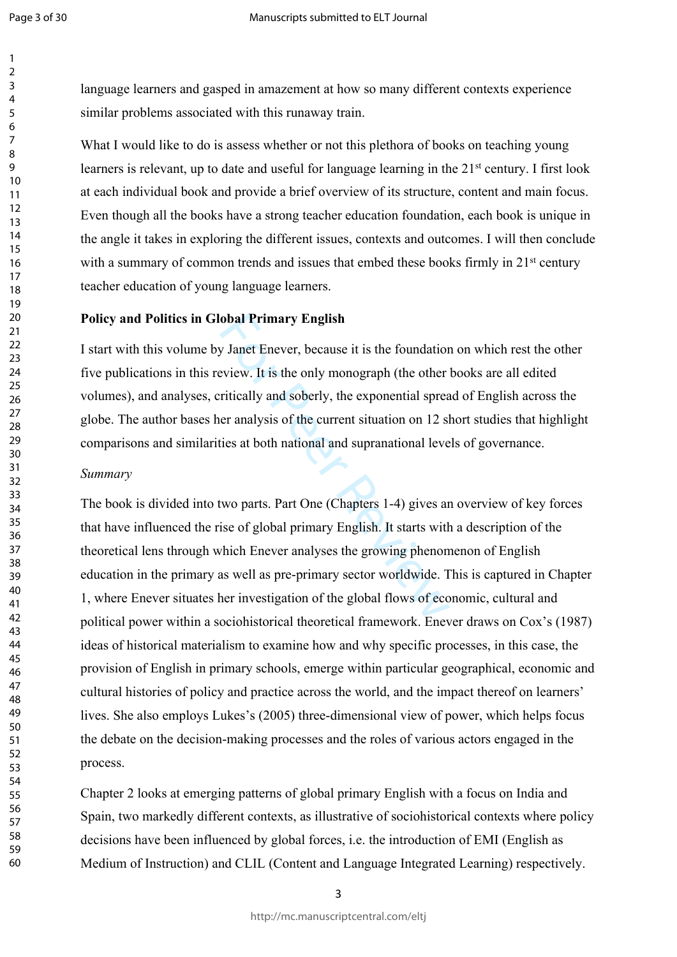60

language learners and gasped in amazement at how so many different contexts experience similar problems associated with this runaway train.

What I would like to do is assess whether or not this plethora of books on teaching young learners is relevant, up to date and useful for language learning in the  $21<sup>st</sup>$  century. I first look at each individual book and provide a brief overview of its structure, content and main focus. Even though all the books have a strong teacher education foundation, each book is unique in the angle it takes in exploring the different issues, contexts and outcomes. I will then conclude with a summary of common trends and issues that embed these books firmly in 21<sup>st</sup> century teacher education of young language learners.

### **Policy and Politics in Global Primary English**

I start with this volume by Janet Enever, because it is the foundation on which rest the other five publications in this review. It is the only monograph (the other books are all edited volumes), and analyses, critically and soberly, the exponential spread of English across the globe. The author bases her analysis of the current situation on 12 short studies that highlight comparisons and similarities at both national and supranational levels of governance.

### *Summary*

**obal Primary English**<br>y Janet Enever, because it is the foundation<br>eview. It is the only monograph (the other<br>ritically and soberly, the exponential sprea<br>er analysis of the current situation on 12 sl<br>ties at both nationa The book is divided into two parts. Part One (Chapters 1-4) gives an overview of key forces that have influenced the rise of global primary English. It starts with a description of the theoretical lens through which Enever analyses the growing phenomenon of English education in the primary as well as pre-primary sector worldwide. This is captured in Chapter 1, where Enever situates her investigation of the global flows of economic, cultural and political power within a sociohistorical theoretical framework. Enever draws on Cox's (1987) ideas of historical materialism to examine how and why specific processes, in this case, the provision of English in primary schools, emerge within particular geographical, economic and cultural histories of policy and practice across the world, and the impact thereof on learners' lives. She also employs Lukes's (2005) three-dimensional view of power, which helps focus the debate on the decision-making processes and the roles of various actors engaged in the process.

Chapter 2 looks at emerging patterns of global primary English with a focus on India and Spain, two markedly different contexts, as illustrative of sociohistorical contexts where policy decisions have been influenced by global forces, i.e. the introduction of EMI (English as Medium of Instruction) and CLIL (Content and Language Integrated Learning) respectively.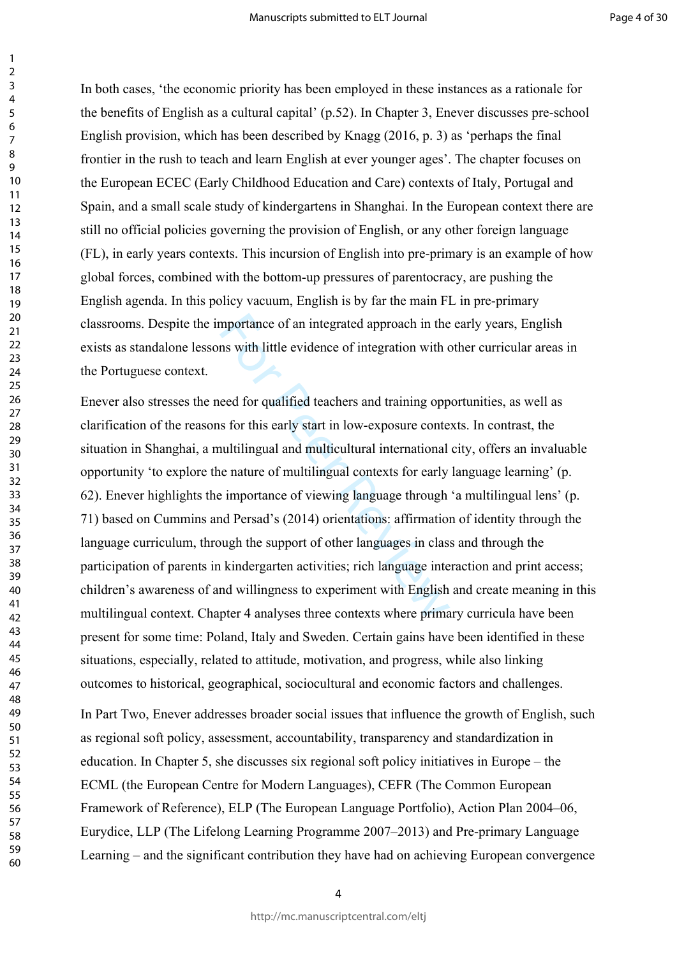In both cases, 'the economic priority has been employed in these instances as a rationale for the benefits of English as a cultural capital' (p.52). In Chapter 3, Enever discusses pre-school English provision, which has been described by Knagg (2016, p. 3) as 'perhaps the final frontier in the rush to teach and learn English at ever younger ages'. The chapter focuses on the European ECEC (Early Childhood Education and Care) contexts of Italy, Portugal and Spain, and a small scale study of kindergartens in Shanghai. In the European context there are still no official policies governing the provision of English, or any other foreign language (FL), in early years contexts. This incursion of English into pre-primary is an example of how global forces, combined with the bottom-up pressures of parentocracy, are pushing the English agenda. In this policy vacuum, English is by far the main FL in pre-primary classrooms. Despite the importance of an integrated approach in the early years, English exists as standalone lessons with little evidence of integration with other curricular areas in the Portuguese context.

mportance of an integrated approach in the<br>ns with little evidence of integration with  $\alpha$ <br>eed for qualified teachers and training opp<br>s for this early start in low-exposure conte<br>nultilingual and multicultural internatio Enever also stresses the need for qualified teachers and training opportunities, as well as clarification of the reasons for this early start in low-exposure contexts. In contrast, the situation in Shanghai, a multilingual and multicultural international city, offers an invaluable opportunity 'to explore the nature of multilingual contexts for early language learning' (p. 62). Enever highlights the importance of viewing language through 'a multilingual lens' (p. 71) based on Cummins and Persad's (2014) orientations: affirmation of identity through the language curriculum, through the support of other languages in class and through the participation of parents in kindergarten activities; rich language interaction and print access; children's awareness of and willingness to experiment with English and create meaning in this multilingual context. Chapter 4 analyses three contexts where primary curricula have been present for some time: Poland, Italy and Sweden. Certain gains have been identified in these situations, especially, related to attitude, motivation, and progress, while also linking outcomes to historical, geographical, sociocultural and economic factors and challenges.

In Part Two, Enever addresses broader social issues that influence the growth of English, such as regional soft policy, assessment, accountability, transparency and standardization in education. In Chapter 5, she discusses six regional soft policy initiatives in Europe – the ECML (the European Centre for Modern Languages), CEFR (The Common European Framework of Reference), ELP (The European Language Portfolio), Action Plan 2004–06, Eurydice, LLP (The Lifelong Learning Programme 2007–2013) and Pre-primary Language Learning – and the significant contribution they have had on achieving European convergence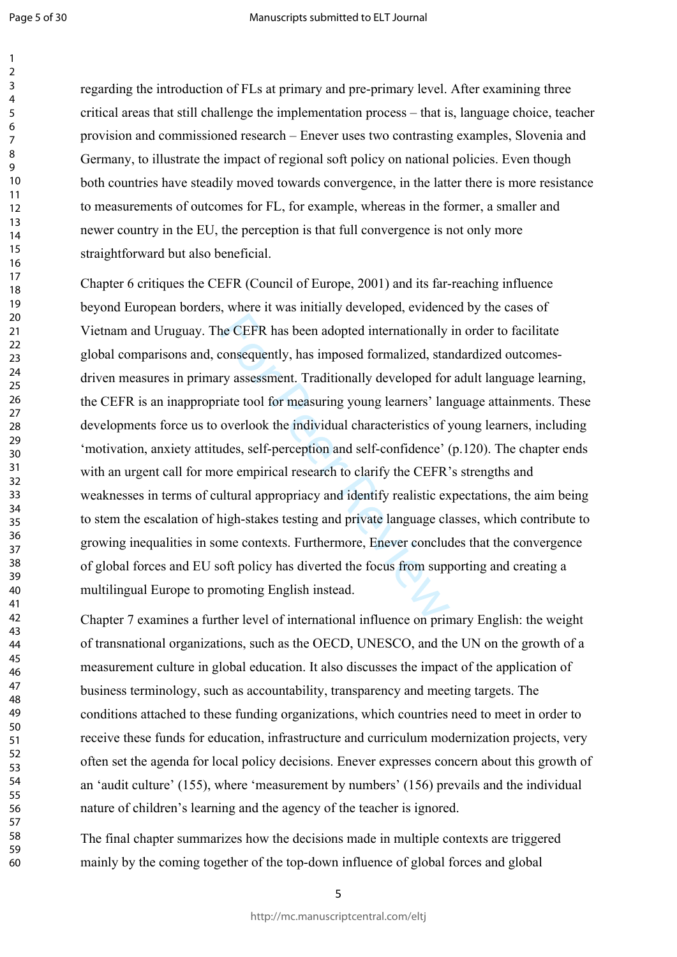60

regarding the introduction of FLs at primary and pre-primary level. After examining three critical areas that still challenge the implementation process – that is, language choice, teacher provision and commissioned research – Enever uses two contrasting examples, Slovenia and Germany, to illustrate the impact of regional soft policy on national policies. Even though both countries have steadily moved towards convergence, in the latter there is more resistance to measurements of outcomes for FL, for example, whereas in the former, a smaller and newer country in the EU, the perception is that full convergence is not only more straightforward but also beneficial.

the CEFR has been adopted internationally<br>consequently, has imposed formalized, star<br>ry assessment. Traditionally developed for<br>iate tool for measuring young learners' lar<br>overlook the individual characteristics of y<br>ides, Chapter 6 critiques the CEFR (Council of Europe, 2001) and its far-reaching influence beyond European borders, where it was initially developed, evidenced by the cases of Vietnam and Uruguay. The CEFR has been adopted internationally in order to facilitate global comparisons and, consequently, has imposed formalized, standardized outcomesdriven measures in primary assessment. Traditionally developed for adult language learning, the CEFR is an inappropriate tool for measuring young learners' language attainments. These developments force us to overlook the individual characteristics of young learners, including 'motivation, anxiety attitudes, self-perception and self-confidence' (p.120). The chapter ends with an urgent call for more empirical research to clarify the CEFR's strengths and weaknesses in terms of cultural appropriacy and identify realistic expectations, the aim being to stem the escalation of high-stakes testing and private language classes, which contribute to growing inequalities in some contexts. Furthermore, Enever concludes that the convergence of global forces and EU soft policy has diverted the focus from supporting and creating a multilingual Europe to promoting English instead.

Chapter 7 examines a further level of international influence on primary English: the weight of transnational organizations, such as the OECD, UNESCO, and the UN on the growth of a measurement culture in global education. It also discusses the impact of the application of business terminology, such as accountability, transparency and meeting targets. The conditions attached to these funding organizations, which countries need to meet in order to receive these funds for education, infrastructure and curriculum modernization projects, very often set the agenda for local policy decisions. Enever expresses concern about this growth of an 'audit culture' (155), where 'measurement by numbers' (156) prevails and the individual nature of children's learning and the agency of the teacher is ignored.

The final chapter summarizes how the decisions made in multiple contexts are triggered mainly by the coming together of the top-down influence of global forces and global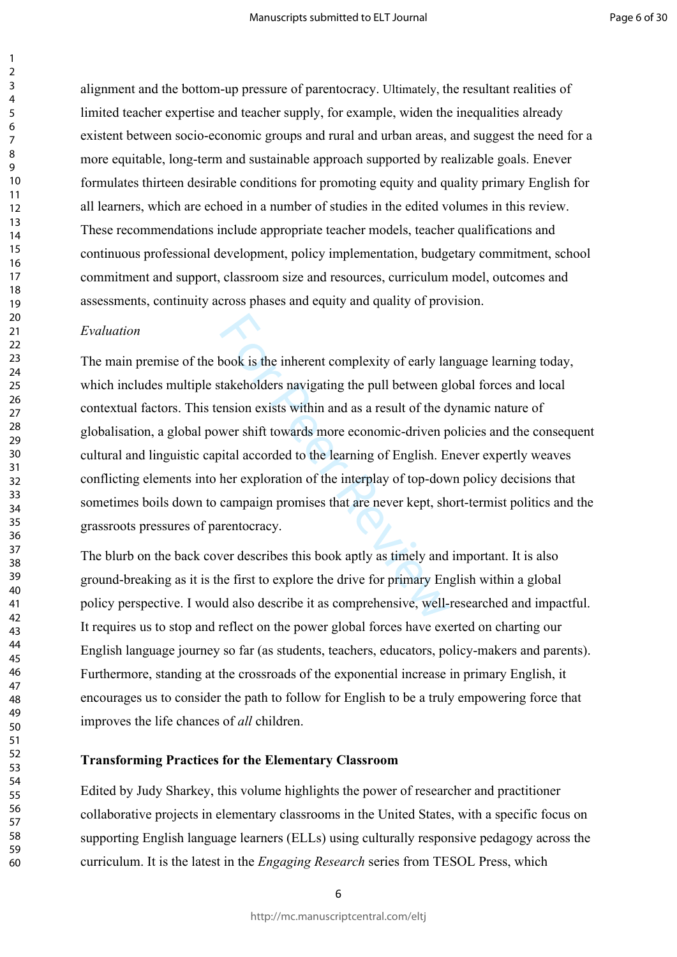alignment and the bottom-up pressure of parentocracy. Ultimately, the resultant realities of limited teacher expertise and teacher supply, for example, widen the inequalities already existent between socio-economic groups and rural and urban areas, and suggest the need for a more equitable, long-term and sustainable approach supported by realizable goals. Enever formulates thirteen desirable conditions for promoting equity and quality primary English for all learners, which are echoed in a number of studies in the edited volumes in this review. These recommendations include appropriate teacher models, teacher qualifications and continuous professional development, policy implementation, budgetary commitment, school commitment and support, classroom size and resources, curriculum model, outcomes and assessments, continuity across phases and equity and quality of provision.

### *Evaluation*

book is the inherent complexity of early land takeholders navigating the pull between glension exists within and as a result of the d<br>wer shift towards more economic-driven poital accorded to the learning of English. Enter The main premise of the book is the inherent complexity of early language learning today, which includes multiple stakeholders navigating the pull between global forces and local contextual factors. This tension exists within and as a result of the dynamic nature of globalisation, a global power shift towards more economic-driven policies and the consequent cultural and linguistic capital accorded to the learning of English. Enever expertly weaves conflicting elements into her exploration of the interplay of top-down policy decisions that sometimes boils down to campaign promises that are never kept, short-termist politics and the grassroots pressures of parentocracy.

The blurb on the back cover describes this book aptly as timely and important. It is also ground-breaking as it is the first to explore the drive for primary English within a global policy perspective. I would also describe it as comprehensive, well-researched and impactful. It requires us to stop and reflect on the power global forces have exerted on charting our English language journey so far (as students, teachers, educators, policy-makers and parents). Furthermore, standing at the crossroads of the exponential increase in primary English, it encourages us to consider the path to follow for English to be a truly empowering force that improves the life chances of *all* children.

#### **Transforming Practices for the Elementary Classroom**

Edited by Judy Sharkey, this volume highlights the power of researcher and practitioner collaborative projects in elementary classrooms in the United States, with a specific focus on supporting English language learners (ELLs) using culturally responsive pedagogy across the curriculum. It is the latest in the *Engaging Research* series from TESOL Press, which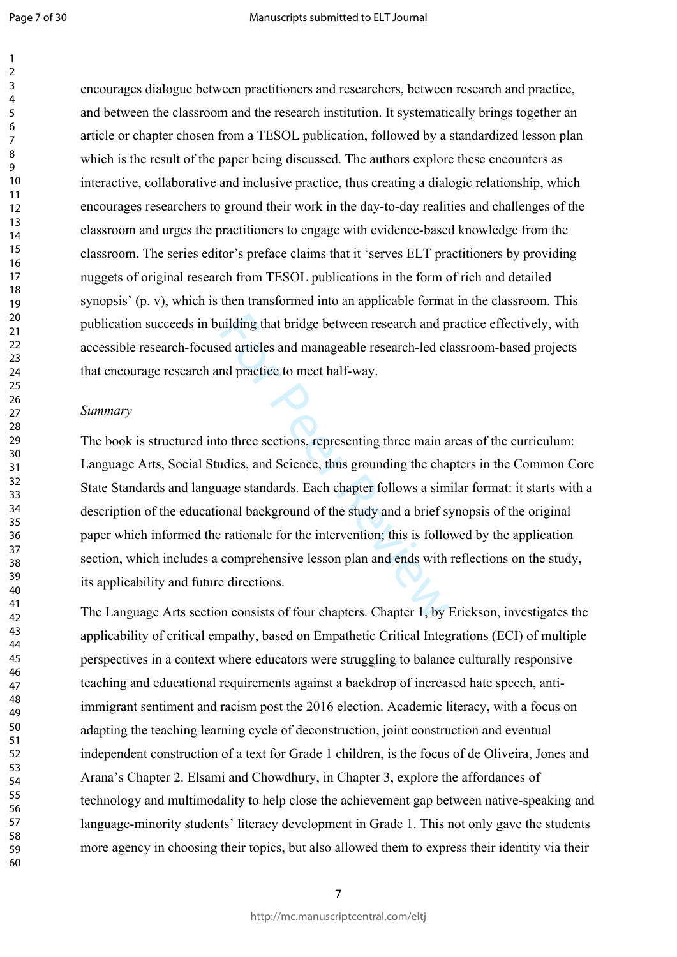encourages dialogue between practitioners and researchers, between research and practice, and between the classroom and the research institution. It systematically brings together an article or chapter chosen from a TESOL publication, followed by a standardized lesson plan which is the result of the paper being discussed. The authors explore these encounters as interactive, collaborative and inclusive practice, thus creating a dialogic relationship, which encourages researchers to ground their work in the day-to-day realities and challenges of the classroom and urges the practitioners to engage with evidence-based knowledge from the classroom. The series editor's preface claims that it 'serves ELT practitioners by providing nuggets of original research from TESOL publications in the form of rich and detailed synopsis' (p. v), which is then transformed into an applicable format in the classroom. This publication succeeds in building that bridge between research and practice effectively, with accessible research-focused articles and manageable research-led classroom-based projects that encourage research and practice to meet half-way.

#### *Summary*

uilding that bridge between research and p<br>ed articles and manageable research-led cl<br>nd practice to meet half-way.<br>to three sections, representing three main a<br>udies, and Science, thus grounding the cha<br>aage standards. Ea The book is structured into three sections, representing three main areas of the curriculum: Language Arts, Social Studies, and Science, thus grounding the chapters in the Common Core State Standards and language standards. Each chapter follows a similar format: it starts with a description of the educational background of the study and a brief synopsis of the original paper which informed the rationale for the intervention; this is followed by the application section, which includes a comprehensive lesson plan and ends with reflections on the study, its applicability and future directions.

The Language Arts section consists of four chapters. Chapter 1, by Erickson, investigates the applicability of critical empathy, based on Empathetic Critical Integrations (ECI) of multiple perspectives in a context where educators were struggling to balance culturally responsive teaching and educational requirements against a backdrop of increased hate speech, antiimmigrant sentiment and racism post the 2016 election. Academic literacy, with a focus on adapting the teaching learning cycle of deconstruction, joint construction and eventual independent construction of a text for Grade 1 children, is the focus of de Oliveira, Jones and Arana's Chapter 2. Elsami and Chowdhury, in Chapter 3, explore the affordances of technology and multimodality to help close the achievement gap between native-speaking and language-minority students' literacy development in Grade 1. This not only gave the students more agency in choosing their topics, but also allowed them to express their identity via their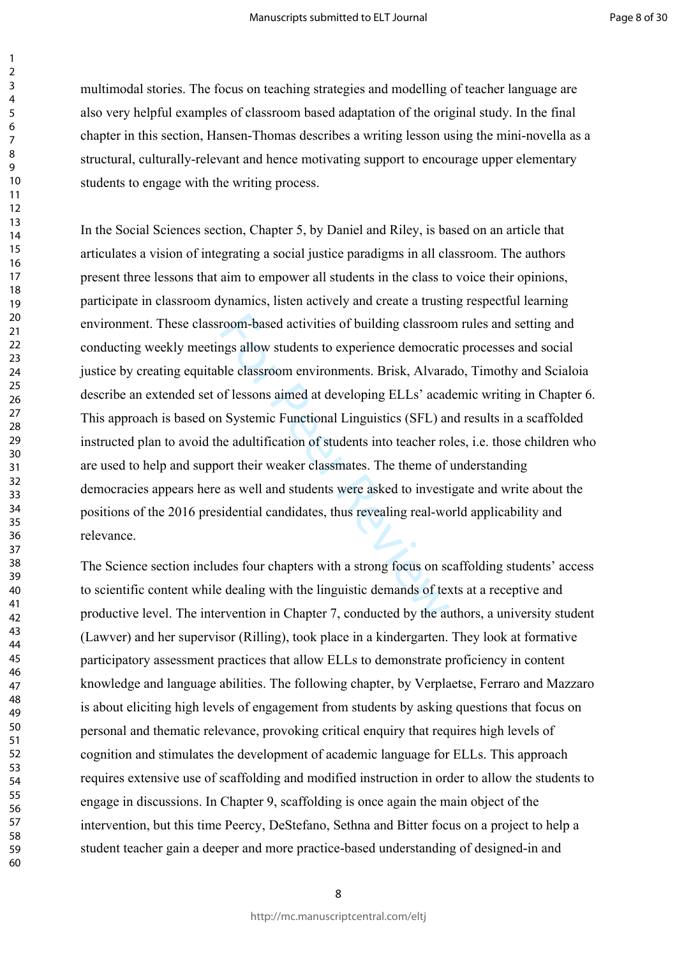multimodal stories. The focus on teaching strategies and modelling of teacher language are also very helpful examples of classroom based adaptation of the original study. In the final chapter in this section, Hansen-Thomas describes a writing lesson using the mini-novella as a structural, culturally-relevant and hence motivating support to encourage upper elementary students to engage with the writing process.

room-based activities of building classroom<br>ngs allow students to experience democrat<br>ble classroom environments. Brisk, Alvara<br>of lessons aimed at developing ELLs' acad<br>n Systemic Functional Linguistics (SFL) an<br>ne adulti In the Social Sciences section, Chapter 5, by Daniel and Riley, is based on an article that articulates a vision of integrating a social justice paradigms in all classroom. The authors present three lessons that aim to empower all students in the class to voice their opinions, participate in classroom dynamics, listen actively and create a trusting respectful learning environment. These classroom-based activities of building classroom rules and setting and conducting weekly meetings allow students to experience democratic processes and social justice by creating equitable classroom environments. Brisk, Alvarado, Timothy and Scialoia describe an extended set of lessons aimed at developing ELLs' academic writing in Chapter 6. This approach is based on Systemic Functional Linguistics (SFL) and results in a scaffolded instructed plan to avoid the adultification of students into teacher roles, i.e. those children who are used to help and support their weaker classmates. The theme of understanding democracies appears here as well and students were asked to investigate and write about the positions of the 2016 presidential candidates, thus revealing real-world applicability and relevance.

The Science section includes four chapters with a strong focus on scaffolding students' access to scientific content while dealing with the linguistic demands of texts at a receptive and productive level. The intervention in Chapter 7, conducted by the authors, a university student (Lawver) and her supervisor (Rilling), took place in a kindergarten. They look at formative participatory assessment practices that allow ELLs to demonstrate proficiency in content knowledge and language abilities. The following chapter, by Verplaetse, Ferraro and Mazzaro is about eliciting high levels of engagement from students by asking questions that focus on personal and thematic relevance, provoking critical enquiry that requires high levels of cognition and stimulates the development of academic language for ELLs. This approach requires extensive use of scaffolding and modified instruction in order to allow the students to engage in discussions. In Chapter 9, scaffolding is once again the main object of the intervention, but this time Peercy, DeStefano, Sethna and Bitter focus on a project to help a student teacher gain a deeper and more practice-based understanding of designed-in and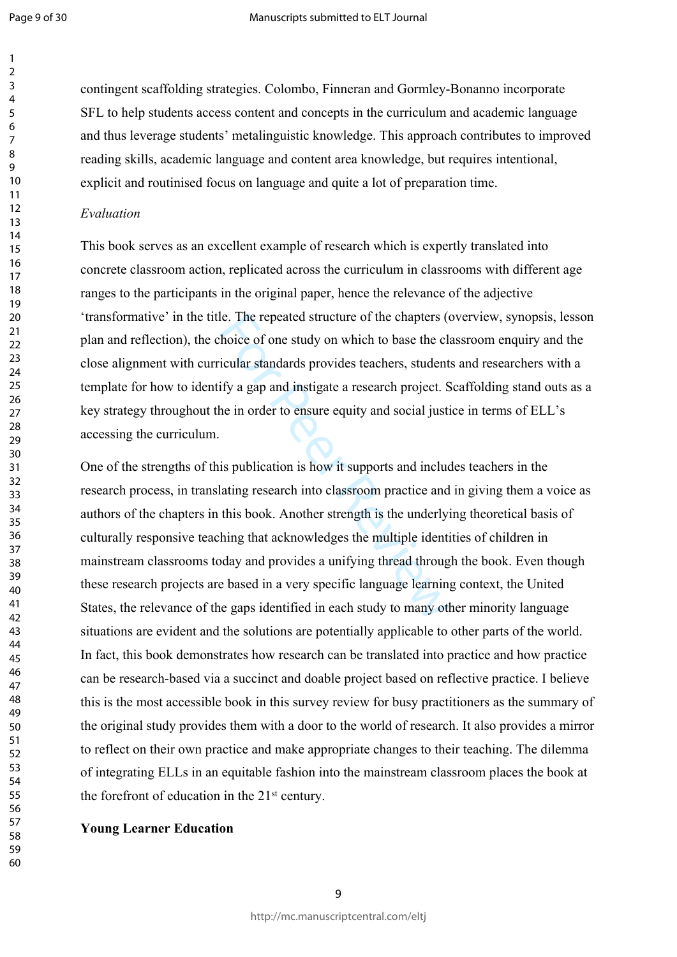contingent scaffolding strategies. Colombo, Finneran and Gormley-Bonanno incorporate SFL to help students access content and concepts in the curriculum and academic language and thus leverage students' metalinguistic knowledge. This approach contributes to improved reading skills, academic language and content area knowledge, but requires intentional, explicit and routinised focus on language and quite a lot of preparation time.

#### *Evaluation*

This book serves as an excellent example of research which is expertly translated into concrete classroom action, replicated across the curriculum in classrooms with different age ranges to the participants in the original paper, hence the relevance of the adjective 'transformative' in the title. The repeated structure of the chapters (overview, synopsis, lesson plan and reflection), the choice of one study on which to base the classroom enquiry and the close alignment with curricular standards provides teachers, students and researchers with a template for how to identify a gap and instigate a research project. Scaffolding stand outs as a key strategy throughout the in order to ensure equity and social justice in terms of ELL's accessing the curriculum.

le. The repeated structure of the chapters (whoice of one study on which to base the cl<br>icular standards provides teachers, student<br>ify a gap and instigate a research project. S<br>he in order to ensure equity and social just One of the strengths of this publication is how it supports and includes teachers in the research process, in translating research into classroom practice and in giving them a voice as authors of the chapters in this book. Another strength is the underlying theoretical basis of culturally responsive teaching that acknowledges the multiple identities of children in mainstream classrooms today and provides a unifying thread through the book. Even though these research projects are based in a very specific language learning context, the United States, the relevance of the gaps identified in each study to many other minority language situations are evident and the solutions are potentially applicable to other parts of the world. In fact, this book demonstrates how research can be translated into practice and how practice can be research-based via a succinct and doable project based on reflective practice. I believe this is the most accessible book in this survey review for busy practitioners as the summary of the original study provides them with a door to the world of research. It also provides a mirror to reflect on their own practice and make appropriate changes to their teaching. The dilemma of integrating ELLs in an equitable fashion into the mainstream classroom places the book at the forefront of education in the 21st century.

#### **Young Learner Education**

60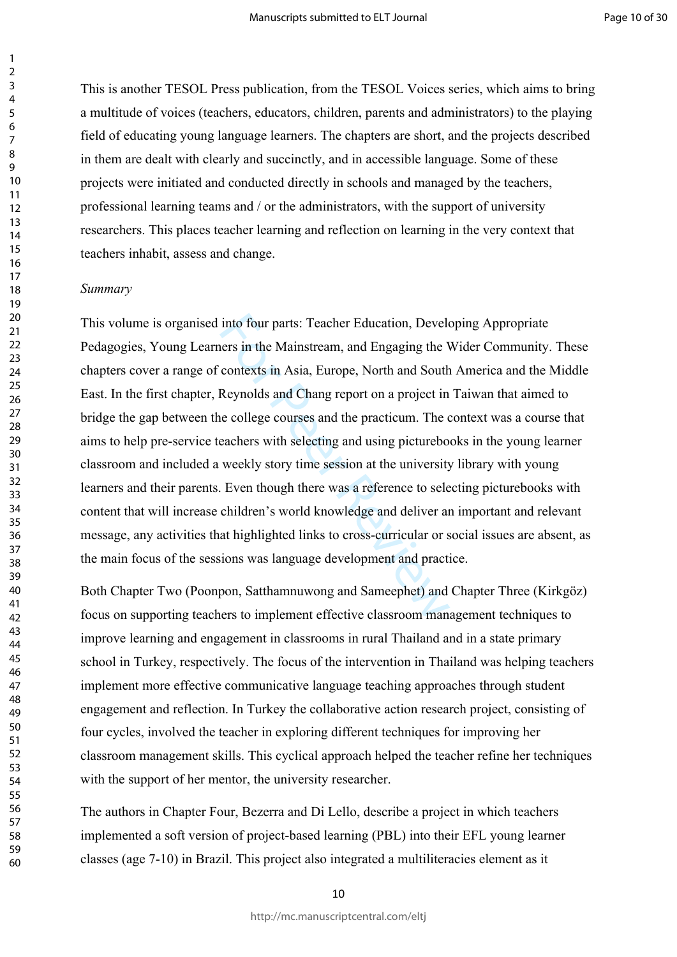This is another TESOL Press publication, from the TESOL Voices series, which aims to bring a multitude of voices (teachers, educators, children, parents and administrators) to the playing field of educating young language learners. The chapters are short, and the projects described in them are dealt with clearly and succinctly, and in accessible language. Some of these projects were initiated and conducted directly in schools and managed by the teachers, professional learning teams and / or the administrators, with the support of university researchers. This places teacher learning and reflection on learning in the very context that teachers inhabit, assess and change.

#### *Summary*

into four parts: Teacher Education, Develations, Develations in the Mainstream, and Engaging the V contexts in Asia, Europe, North and South Reynolds and Chang report on a project in ee college courses and the practicum. T This volume is organised into four parts: Teacher Education, Developing Appropriate Pedagogies, Young Learners in the Mainstream, and Engaging the Wider Community. These chapters cover a range of contexts in Asia, Europe, North and South America and the Middle East. In the first chapter, Reynolds and Chang report on a project in Taiwan that aimed to bridge the gap between the college courses and the practicum. The context was a course that aims to help pre-service teachers with selecting and using picturebooks in the young learner classroom and included a weekly story time session at the university library with young learners and their parents. Even though there was a reference to selecting picturebooks with content that will increase children's world knowledge and deliver an important and relevant message, any activities that highlighted links to cross-curricular or social issues are absent, as the main focus of the sessions was language development and practice.

Both Chapter Two (Poonpon, Satthamnuwong and Sameephet) and Chapter Three (Kirkgöz) focus on supporting teachers to implement effective classroom management techniques to improve learning and engagement in classrooms in rural Thailand and in a state primary school in Turkey, respectively. The focus of the intervention in Thailand was helping teachers implement more effective communicative language teaching approaches through student engagement and reflection. In Turkey the collaborative action research project, consisting of four cycles, involved the teacher in exploring different techniques for improving her classroom management skills. This cyclical approach helped the teacher refine her techniques with the support of her mentor, the university researcher.

The authors in Chapter Four, Bezerra and Di Lello, describe a project in which teachers implemented a soft version of project-based learning (PBL) into their EFL young learner classes (age 7-10) in Brazil. This project also integrated a multiliteracies element as it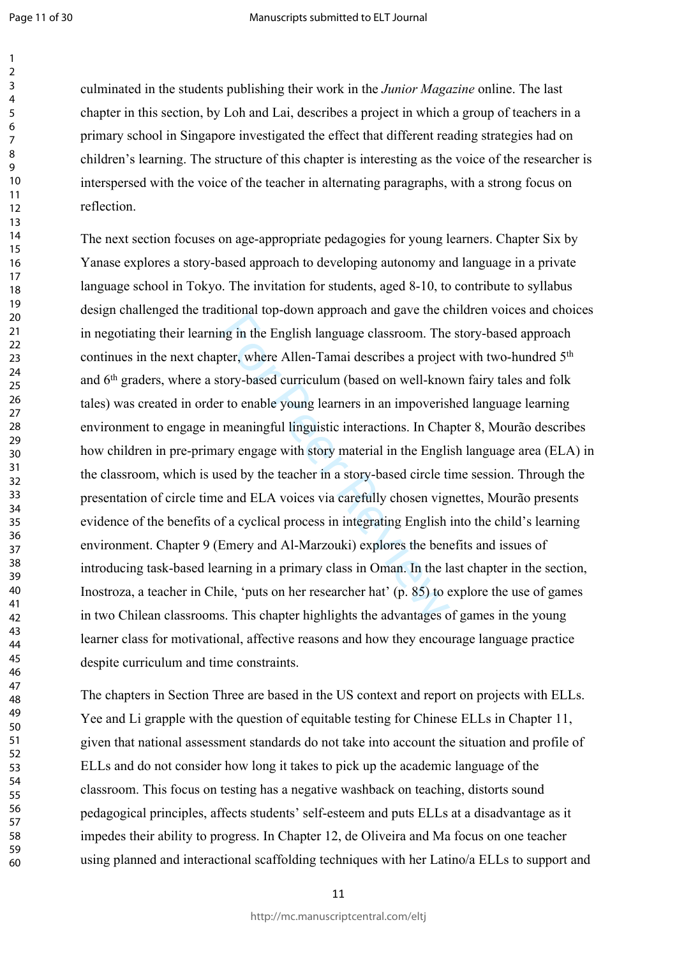123456789

 $\mathbf{1}$  $\overline{2}$  $\overline{3}$  $\overline{4}$ 5 6  $\overline{7}$ 8 9

culminated in the students publishing their work in the *Junior Magazine* online. The last chapter in this section, by Loh and Lai, describes a project in which a group of teachers in a primary school in Singapore investigated the effect that different reading strategies had on children's learning. The structure of this chapter is interesting as the voice of the researcher is interspersed with the voice of the teacher in alternating paragraphs, with a strong focus on reflection.

and the Burn and gave the ends<br>and the English language classroom. The<br>bter, where Allen-Tamai describes a projec<br>tory-based curriculum (based on well-know<br>to enable young learners in an impoveris<br>meaningful linguistic int The next section focuses on age-appropriate pedagogies for young learners. Chapter Six by Yanase explores a story-based approach to developing autonomy and language in a private language school in Tokyo. The invitation for students, aged 8-10, to contribute to syllabus design challenged the traditional top-down approach and gave the children voices and choices in negotiating their learning in the English language classroom. The story-based approach continues in the next chapter, where Allen-Tamai describes a project with two-hundred 5th and 6th graders, where a story-based curriculum (based on well-known fairy tales and folk tales) was created in order to enable young learners in an impoverished language learning environment to engage in meaningful linguistic interactions. In Chapter 8, Mourão describes how children in pre-primary engage with story material in the English language area (ELA) in the classroom, which is used by the teacher in a story-based circle time session. Through the presentation of circle time and ELA voices via carefully chosen vignettes, Mourão presents evidence of the benefits of a cyclical process in integrating English into the child's learning environment. Chapter 9 (Emery and Al-Marzouki) explores the benefits and issues of introducing task-based learning in a primary class in Oman. In the last chapter in the section, Inostroza, a teacher in Chile, 'puts on her researcher hat' (p. 85) to explore the use of games in two Chilean classrooms. This chapter highlights the advantages of games in the young learner class for motivational, affective reasons and how they encourage language practice despite curriculum and time constraints.

The chapters in Section Three are based in the US context and report on projects with ELLs. Yee and Li grapple with the question of equitable testing for Chinese ELLs in Chapter 11, given that national assessment standards do not take into account the situation and profile of ELLs and do not consider how long it takes to pick up the academic language of the classroom. This focus on testing has a negative washback on teaching, distorts sound pedagogical principles, affects students' self-esteem and puts ELLs at a disadvantage as it impedes their ability to progress. In Chapter 12, de Oliveira and Ma focus on one teacher using planned and interactional scaffolding techniques with her Latino/a ELLs to support and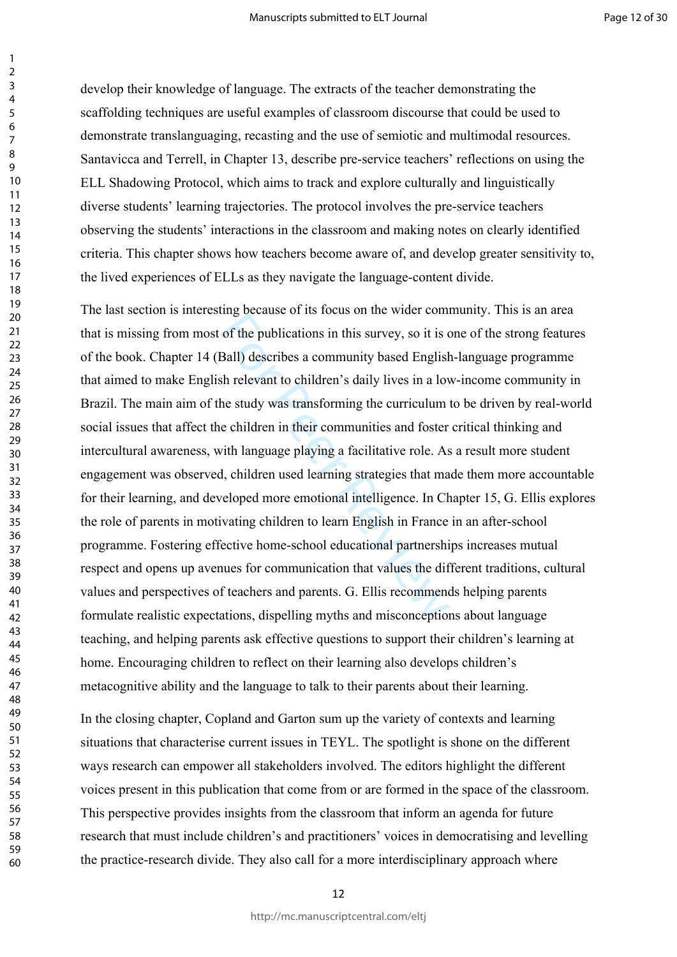develop their knowledge of language. The extracts of the teacher demonstrating the scaffolding techniques are useful examples of classroom discourse that could be used to demonstrate translanguaging, recasting and the use of semiotic and multimodal resources. Santavicca and Terrell, in Chapter 13, describe pre-service teachers' reflections on using the ELL Shadowing Protocol, which aims to track and explore culturally and linguistically diverse students' learning trajectories. The protocol involves the pre-service teachers observing the students' interactions in the classroom and making notes on clearly identified criteria. This chapter shows how teachers become aware of, and develop greater sensitivity to, the lived experiences of ELLs as they navigate the language-content divide.

of the publications in this survey, so it is of the publications in this survey, so it is of Ball) describes a community based English sh relevant to children's daily lives in a love be study was transforming the curriculu The last section is interesting because of its focus on the wider community. This is an area that is missing from most of the publications in this survey, so it is one of the strong features of the book. Chapter 14 (Ball) describes a community based English-language programme that aimed to make English relevant to children's daily lives in a low-income community in Brazil. The main aim of the study was transforming the curriculum to be driven by real-world social issues that affect the children in their communities and foster critical thinking and intercultural awareness, with language playing a facilitative role. As a result more student engagement was observed, children used learning strategies that made them more accountable for their learning, and developed more emotional intelligence. In Chapter 15, G. Ellis explores the role of parents in motivating children to learn English in France in an after-school programme. Fostering effective home-school educational partnerships increases mutual respect and opens up avenues for communication that values the different traditions, cultural values and perspectives of teachers and parents. G. Ellis recommends helping parents formulate realistic expectations, dispelling myths and misconceptions about language teaching, and helping parents ask effective questions to support their children's learning at home. Encouraging children to reflect on their learning also develops children's metacognitive ability and the language to talk to their parents about their learning.

In the closing chapter, Copland and Garton sum up the variety of contexts and learning situations that characterise current issues in TEYL. The spotlight is shone on the different ways research can empower all stakeholders involved. The editors highlight the different voices present in this publication that come from or are formed in the space of the classroom. This perspective provides insights from the classroom that inform an agenda for future research that must include children's and practitioners' voices in democratising and levelling the practice-research divide. They also call for a more interdisciplinary approach where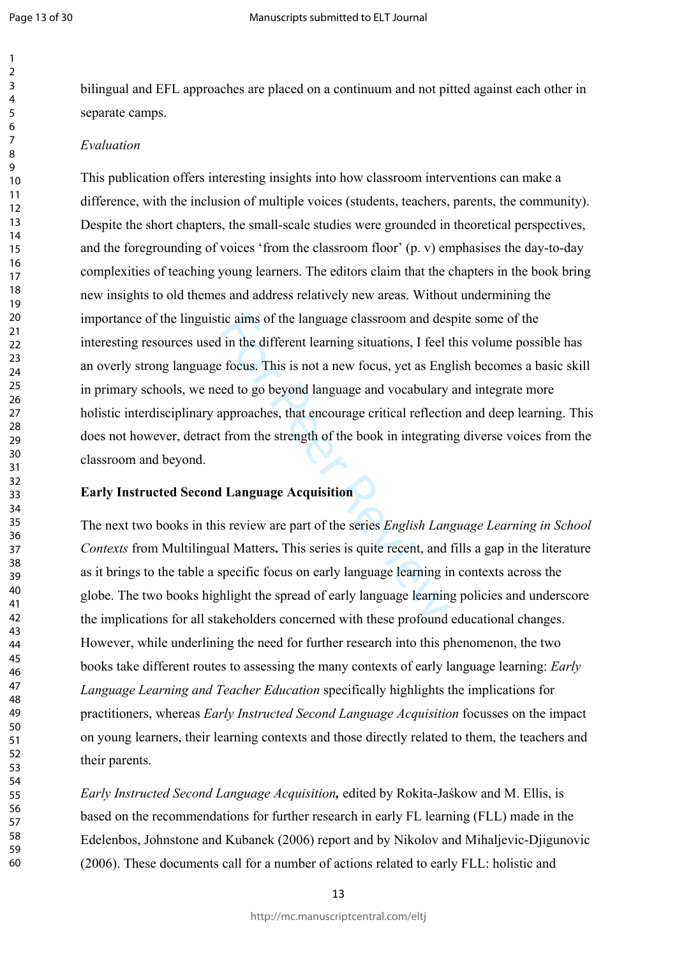bilingual and EFL approaches are placed on a continuum and not pitted against each other in separate camps.

## *Evaluation*

ic aims of the language classroom and des<br>
1 in the different learning situations, I feel is<br>
2 focus. This is not a new focus, yet as Eng<br>
2 focus. This is not a new focus, yet as Eng<br>
2 focus. This is not a new focus, ye This publication offers interesting insights into how classroom interventions can make a difference, with the inclusion of multiple voices (students, teachers, parents, the community). Despite the short chapters, the small-scale studies were grounded in theoretical perspectives, and the foregrounding of voices 'from the classroom floor' (p. v) emphasises the day-to-day complexities of teaching young learners. The editors claim that the chapters in the book bring new insights to old themes and address relatively new areas. Without undermining the importance of the linguistic aims of the language classroom and despite some of the interesting resources used in the different learning situations, I feel this volume possible has an overly strong language focus. This is not a new focus, yet as English becomes a basic skill in primary schools, we need to go beyond language and vocabulary and integrate more holistic interdisciplinary approaches, that encourage critical reflection and deep learning. This does not however, detract from the strength of the book in integrating diverse voices from the classroom and beyond.

# **Early Instructed Second Language Acquisition**

The next two books in this review are part of the series *English Language Learning in School Contexts* from Multilingual Matters **.** This series is quite recent, and fills a gap in the literature as it brings to the table a specific focus on early language learning in contexts across the globe. The two books highlight the spread of early language learning policies and underscore the implications for all stakeholders concerned with these profound educational changes. However, while underlining the need for further research into this phenomenon, the two books take different routes to assessing the many contexts of early language learning: *Early Language Learning and Teacher Education* specifically highlights the implications for practitioners, whereas *Early Instructed Second Language Acquisition* focusses on the impact on young learners, their learning contexts and those directly related to them, the teachers and their parents.

*Early Instructed Second Language Acquisition,* edited by Rokita-Jaśkow and M. Ellis, is based on the recommendations for further research in early FL learning (FLL) made in the Edelenbos, Johnstone and Kubanek (2006) report and by Nikolov and Mihaljevic-Djigunovic (2006). These documents call for a number of actions related to early FLL: holistic and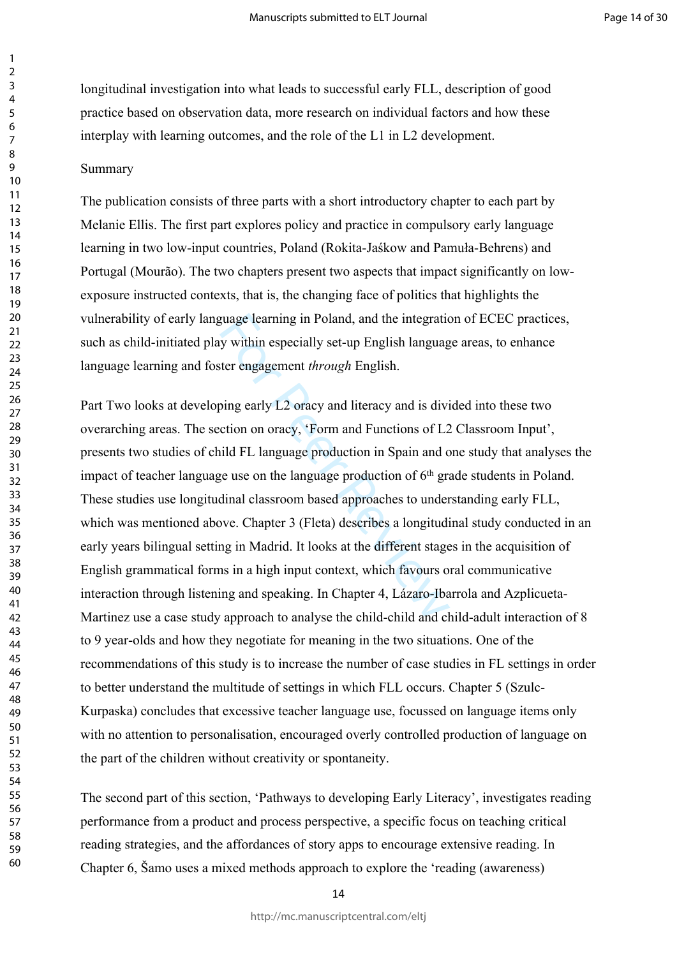longitudinal investigation into what leads to successful early FLL, description of good practice based on observation data, more research on individual factors and how these interplay with learning outcomes, and the role of the L1 in L2 development.

#### Summary

The publication consists of three parts with a short introductory chapter to each part by Melanie Ellis. The first part explores policy and practice in compulsory early language learning in two low-input countries, Poland (Rokita-Jaśkow and Pamuła-Behrens) and Portugal (Mourão). The two chapters present two aspects that impact significantly on lowexposure instructed contexts, that is, the changing face of politics that highlights the vulnerability of early language learning in Poland, and the integration of ECEC practices, such as child-initiated play within especially set-up English language areas, to enhance language learning and foster engagement *through* English.

guage learning in Poland, and the integratic<br>y within especially set-up English languag<br>ter engagement *through* English.<br>ping early L2 oracy and literacy and is diviction on oracy, 'Form and Functions of L2<br>iild FL langua Part Two looks at developing early L2 oracy and literacy and is divided into these two overarching areas. The section on oracy, 'Form and Functions of L2 Classroom Input', presents two studies of child FL language production in Spain and one study that analyses the impact of teacher language use on the language production of 6<sup>th</sup> grade students in Poland. These studies use longitudinal classroom based approaches to understanding early FLL, which was mentioned above. Chapter 3 (Fleta) describes a longitudinal study conducted in an early years bilingual setting in Madrid. It looks at the different stages in the acquisition of English grammatical forms in a high input context, which favours oral communicative interaction through listening and speaking. In Chapter 4, Lázaro-Ibarrola and Azplicueta-Martinez use a case study approach to analyse the child-child and child-adult interaction of 8 to 9 year-olds and how they negotiate for meaning in the two situations. One of the recommendations of this study is to increase the number of case studies in FL settings in order to better understand the multitude of settings in which FLL occurs. Chapter 5 (Szulc-Kurpaska) concludes that excessive teacher language use, focussed on language items only with no attention to personalisation, encouraged overly controlled production of language on the part of the children without creativity or spontaneity.

The second part of this section, 'Pathways to developing Early Literacy', investigates reading performance from a product and process perspective, a specific focus on teaching critical reading strategies, and the affordances of story apps to encourage extensive reading. In Chapter 6, Šamo uses a mixed methods approach to explore the 'reading (awareness)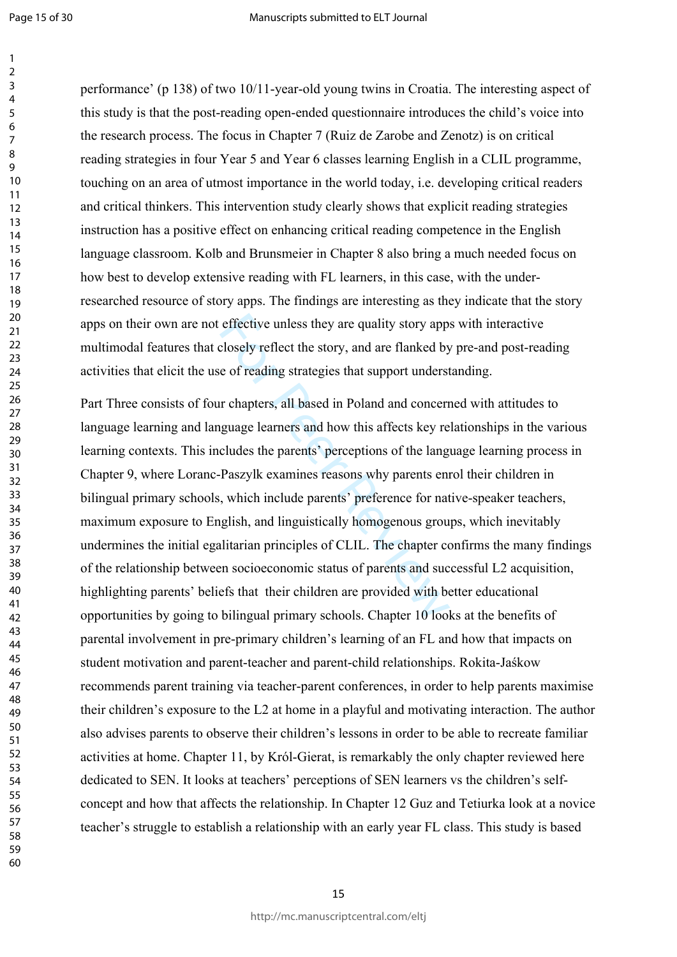performance' (p 138) of two 10/11-year-old young twins in Croatia. The interesting aspect of this study is that the post-reading open-ended questionnaire introduces the child's voice into the research process. The focus in Chapter 7 (Ruiz de Zarobe and Zenotz) is on critical reading strategies in four Year 5 and Year 6 classes learning English in a CLIL programme, touching on an area of utmost importance in the world today, i.e. developing critical readers and critical thinkers. This intervention study clearly shows that explicit reading strategies instruction has a positive effect on enhancing critical reading competence in the English language classroom. Kolb and Brunsmeier in Chapter 8 also bring a much needed focus on how best to develop extensive reading with FL learners, in this case, with the underresearched resource of story apps. The findings are interesting as they indicate that the story apps on their own are not effective unless they are quality story apps with interactive multimodal features that closely reflect the story, and are flanked by pre-and post-reading activities that elicit the use of reading strategies that support understanding.

effective unless they are quality story app<br>closely reflect the story, and are flanked by<br>e of reading strategies that support underst<br>are of reading strategies that support underst<br>are are are are are are positions of the Part Three consists of four chapters, all based in Poland and concerned with attitudes to language learning and language learners and how this affects key relationships in the various learning contexts. This includes the parents' perceptions of the language learning process in Chapter 9, where Loranc-Paszylk examines reasons why parents enrol their children in bilingual primary schools, which include parents' preference for native-speaker teachers, maximum exposure to English, and linguistically homogenous groups, which inevitably undermines the initial egalitarian principles of CLIL. The chapter confirms the many findings of the relationship between socioeconomic status of parents and successful L2 acquisition, highlighting parents' beliefs that their children are provided with better educational opportunities by going to bilingual primary schools. Chapter 10 looks at the benefits of parental involvement in pre-primary children's learning of an FL and how that impacts on student motivation and parent-teacher and parent-child relationships. Rokita-Jaśkow recommends parent training via teacher-parent conferences, in order to help parents maximise their children's exposure to the L2 at home in a playful and motivating interaction. The author also advises parents to observe their children's lessons in order to be able to recreate familiar activities at home. Chapter 11, by Król-Gierat, is remarkably the only chapter reviewed here dedicated to SEN. It looks at teachers' perceptions of SEN learners vs the children's selfconcept and how that affects the relationship. In Chapter 12 Guz and Tetiurka look at a novice teacher's struggle to establish a relationship with an early year FL class. This study is based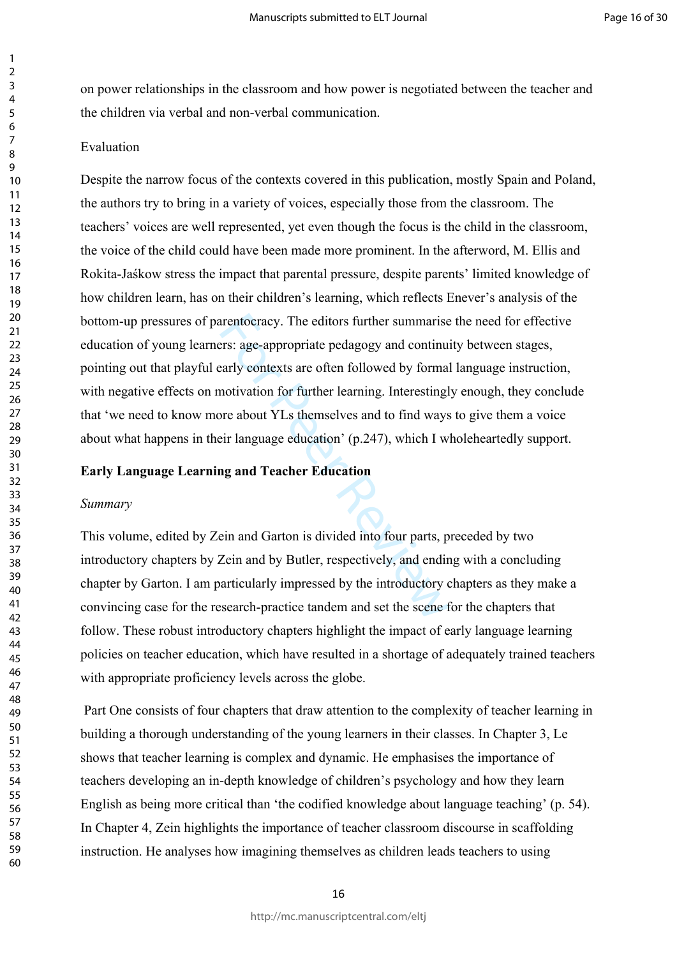on power relationships in the classroom and how power is negotiated between the teacher and the children via verbal and non-verbal communication.

## Evaluation

arentocracy. The editors further summarise<br>
res: age-appropriate pedagogy and continu<br>
early contexts are often followed by forma<br>
motivation for further learning. Interestingl<br>
pre about YLs themselves and to find ways<br>
e Despite the narrow focus of the contexts covered in this publication, mostly Spain and Poland, the authors try to bring in a variety of voices, especially those from the classroom. The teachers' voices are well represented, yet even though the focus is the child in the classroom, the voice of the child could have been made more prominent. In the afterword, M. Ellis and Rokita-Jaśkow stress the impact that parental pressure, despite parents' limited knowledge of how children learn, has on their children's learning, which reflects Enever's analysis of the bottom-up pressures of parentocracy. The editors further summarise the need for effective education of young learners: age-appropriate pedagogy and continuity between stages, pointing out that playful early contexts are often followed by formal language instruction, with negative effects on motivation for further learning. Interestingly enough, they conclude that 'we need to know more about YLs themselves and to find ways to give them a voice about what happens in their language education' (p.247), which I wholeheartedly support.

# **Early Language Learning and Teacher Education**

## *Summary*

This volume, edited by Zein and Garton is divided into four parts, preceded by two introductory chapters by Zein and by Butler, respectively, and ending with a concluding chapter by Garton. I am particularly impressed by the introductory chapters as they make a convincing case for the research-practice tandem and set the scene for the chapters that follow. These robust introductory chapters highlight the impact of early language learning policies on teacher education, which have resulted in a shortage of adequately trained teachers with appropriate proficiency levels across the globe.

 Part One consists of four chapters that draw attention to the complexity of teacher learning in building a thorough understanding of the young learners in their classes. In Chapter 3, Le shows that teacher learning is complex and dynamic. He emphasises the importance of teachers developing an in-depth knowledge of children's psychology and how they learn English as being more critical than 'the codified knowledge about language teaching' (p. 54). In Chapter 4, Zein highlights the importance of teacher classroom discourse in scaffolding instruction. He analyses how imagining themselves as children leads teachers to using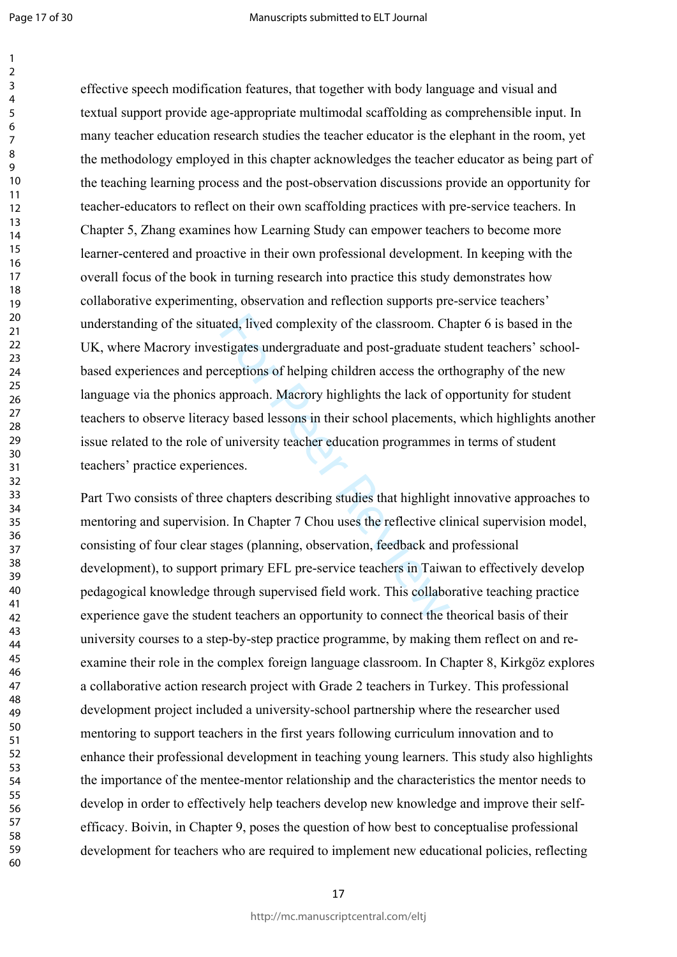nted, lived complexity of the classroom. Check<br>stigates undergraduate and post-graduate s<br>rceptions of helping children access the or<br>approach. Macrory highlights the lack of c<br>sproach. Macrory highlights the lack of c<br>y b effective speech modification features, that together with body language and visual and textual support provide age-appropriate multimodal scaffolding as comprehensible input. In many teacher education research studies the teacher educator is the elephant in the room, yet the methodology employed in this chapter acknowledges the teacher educator as being part of the teaching learning process and the post-observation discussions provide an opportunity for teacher-educators to reflect on their own scaffolding practices with pre-service teachers. In Chapter 5, Zhang examines how Learning Study can empower teachers to become more learner-centered and proactive in their own professional development. In keeping with the overall focus of the book in turning research into practice this study demonstrates how collaborative experimenting, observation and reflection supports pre-service teachers' understanding of the situated, lived complexity of the classroom. Chapter 6 is based in the UK, where Macrory investigates undergraduate and post-graduate student teachers' schoolbased experiences and perceptions of helping children access the orthography of the new language via the phonics approach. Macrory highlights the lack of opportunity for student teachers to observe literacy based lessons in their school placements, which highlights another issue related to the role of university teacher education programmes in terms of student teachers' practice experiences.

Part Two consists of three chapters describing studies that highlight innovative approaches to mentoring and supervision. In Chapter 7 Chou uses the reflective clinical supervision model, consisting of four clear stages (planning, observation, feedback and professional development), to support primary EFL pre-service teachers in Taiwan to effectively develop pedagogical knowledge through supervised field work. This collaborative teaching practice experience gave the student teachers an opportunity to connect the theorical basis of their university courses to a step-by-step practice programme, by making them reflect on and reexamine their role in the complex foreign language classroom. In Chapter 8, Kirkgöz explores a collaborative action research project with Grade 2 teachers in Turkey. This professional development project included a university-school partnership where the researcher used mentoring to support teachers in the first years following curriculum innovation and to enhance their professional development in teaching young learners. This study also highlights the importance of the mentee-mentor relationship and the characteristics the mentor needs to develop in order to effectively help teachers develop new knowledge and improve their selfefficacy. Boivin, in Chapter 9, poses the question of how best to conceptualise professional development for teachers who are required to implement new educational policies, reflecting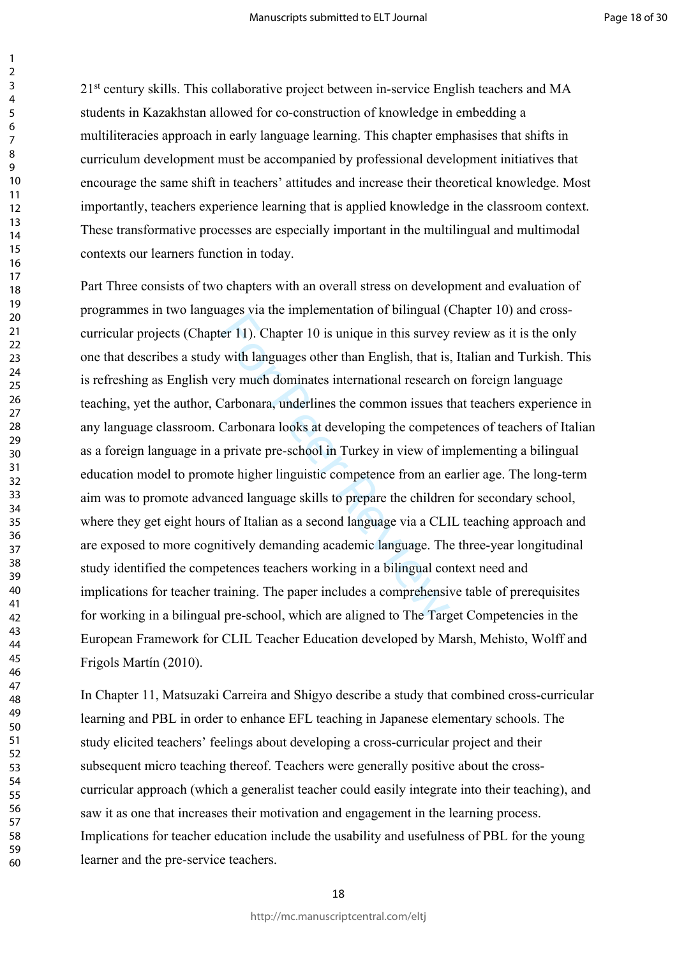st century skills. This collaborative project between in-service English teachers and MA students in Kazakhstan allowed for co-construction of knowledge in embedding a multiliteracies approach in early language learning. This chapter emphasises that shifts in curriculum development must be accompanied by professional development initiatives that encourage the same shift in teachers' attitudes and increase their theoretical knowledge. Most importantly, teachers experience learning that is applied knowledge in the classroom context. These transformative processes are especially important in the multilingual and multimodal contexts our learners function in today.

Example 10 is unique in this survey<br>for 11). Chapter 10 is unique in this survey<br>with languages other than English, that is<br>ery much dominates international research<br>Carbonara, underlines the common issues t<br>Carbonara look Part Three consists of two chapters with an overall stress on development and evaluation of programmes in two languages via the implementation of bilingual (Chapter 10) and crosscurricular projects (Chapter 11). Chapter 10 is unique in this survey review as it is the only one that describes a study with languages other than English, that is, Italian and Turkish. This is refreshing as English very much dominates international research on foreign language teaching, yet the author, Carbonara, underlines the common issues that teachers experience in any language classroom. Carbonara looks at developing the competences of teachers of Italian as a foreign language in a private pre-school in Turkey in view of implementing a bilingual education model to promote higher linguistic competence from an earlier age. The long-term aim was to promote advanced language skills to prepare the children for secondary school, where they get eight hours of Italian as a second language via a CLIL teaching approach and are exposed to more cognitively demanding academic language. The three-year longitudinal study identified the competences teachers working in a bilingual context need and implications for teacher training. The paper includes a comprehensive table of prerequisites for working in a bilingual pre-school, which are aligned to The Target Competencies in the European Framework for CLIL Teacher Education developed by Marsh, Mehisto, Wolff and Frigols Martín (2010).

In Chapter 11, Matsuzaki Carreira and Shigyo describe a study that combined cross-curricular learning and PBL in order to enhance EFL teaching in Japanese elementary schools. The study elicited teachers' feelings about developing a cross-curricular project and their subsequent micro teaching thereof. Teachers were generally positive about the crosscurricular approach (which a generalist teacher could easily integrate into their teaching), and saw it as one that increases their motivation and engagement in the learning process. Implications for teacher education include the usability and usefulness of PBL for the young learner and the pre-service teachers.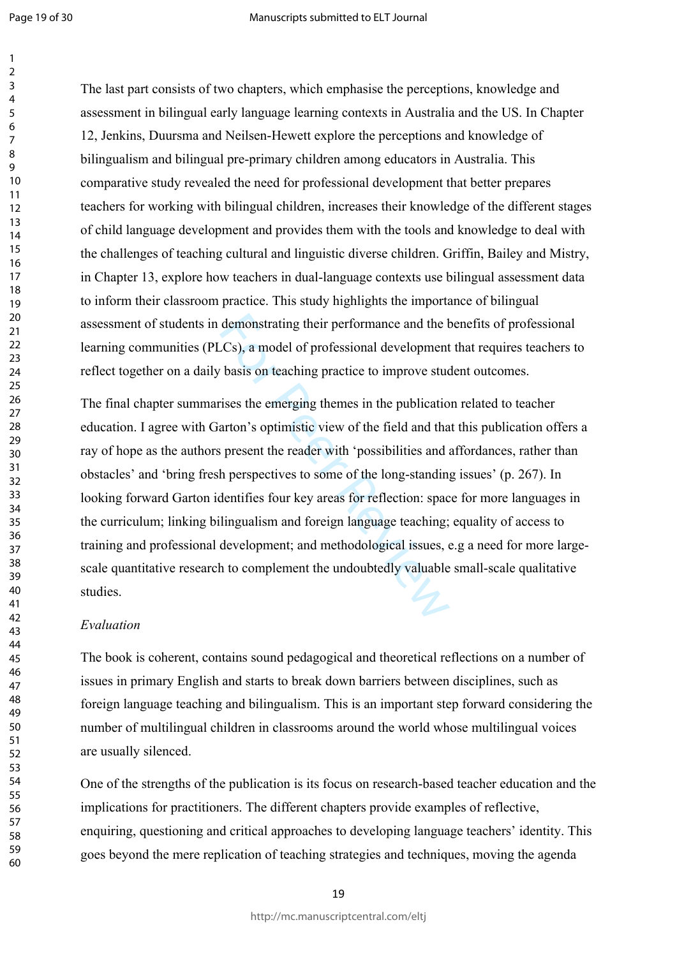60

The last part consists of two chapters, which emphasise the perceptions, knowledge and assessment in bilingual early language learning contexts in Australia and the US. In Chapter 12, Jenkins, Duursma and Neilsen-Hewett explore the perceptions and knowledge of bilingualism and bilingual pre-primary children among educators in Australia. This comparative study revealed the need for professional development that better prepares teachers for working with bilingual children, increases their knowledge of the different stages of child language development and provides them with the tools and knowledge to deal with the challenges of teaching cultural and linguistic diverse children. Griffin, Bailey and Mistry, in Chapter 13, explore how teachers in dual-language contexts use bilingual assessment data to inform their classroom practice. This study highlights the importance of bilingual assessment of students in demonstrating their performance and the benefits of professional learning communities (PLCs), a model of professional development that requires teachers to reflect together on a daily basis on teaching practice to improve student outcomes.

demonstrating their performance and the l<br>
LCs), a model of professional development<br>
basis on teaching practice to improve student<br>
rises the emerging themes in the publication<br>
arton's optimistic view of the field and th The final chapter summarises the emerging themes in the publication related to teacher education. I agree with Garton's optimistic view of the field and that this publication offers a ray of hope as the authors present the reader with 'possibilities and affordances, rather than obstacles' and 'bring fresh perspectives to some of the long-standing issues' (p. 267). In looking forward Garton identifies four key areas for reflection: space for more languages in the curriculum; linking bilingualism and foreign language teaching; equality of access to training and professional development; and methodological issues, e.g a need for more largescale quantitative research to complement the undoubtedly valuable small-scale qualitative studies.

#### *Evaluation*

The book is coherent, contains sound pedagogical and theoretical reflections on a number of issues in primary English and starts to break down barriers between disciplines, such as foreign language teaching and bilingualism. This is an important step forward considering the number of multilingual children in classrooms around the world whose multilingual voices are usually silenced.

One of the strengths of the publication is its focus on research-based teacher education and the implications for practitioners. The different chapters provide examples of reflective, enquiring, questioning and critical approaches to developing language teachers' identity. This goes beyond the mere replication of teaching strategies and techniques, moving the agenda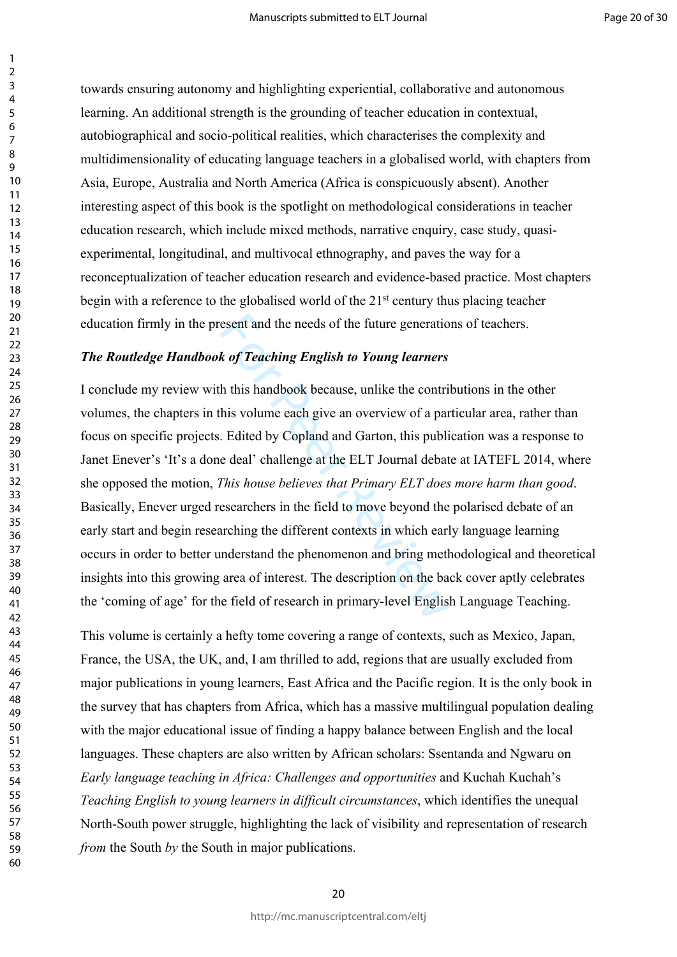towards ensuring autonomy and highlighting experiential, collaborative and autonomous learning. An additional strength is the grounding of teacher education in contextual, autobiographical and socio-political realities, which characterises the complexity and multidimensionality of educating language teachers in a globalised world, with chapters from Asia, Europe, Australia and North America (Africa is conspicuously absent). Another interesting aspect of this book is the spotlight on methodological considerations in teacher education research, which include mixed methods, narrative enquiry, case study, quasiexperimental, longitudinal, and multivocal ethnography, and paves the way for a reconceptualization of teacher education research and evidence-based practice. Most chapters begin with a reference to the globalised world of the  $21<sup>st</sup>$  century thus placing teacher education firmly in the present and the needs of the future generations of teachers.

# *The Routledge Handbook of Teaching English to Young learners*

resent and the needs of the future generatio<br> *k of Teaching English to Young learners*<br>
th this handbook because, unlike the contri<br>
this volume each give an overview of a par<br>
. Edited by Copland and Garton, this publi<br> I conclude my review with this handbook because, unlike the contributions in the other volumes, the chapters in this volume each give an overview of a particular area, rather than focus on specific projects. Edited by Copland and Garton, this publication was a response to Janet Enever's 'It's a done deal' challenge at the ELT Journal debate at IATEFL 2014, where she opposed the motion, *This house believes that Primary ELT does more harm than good*. Basically, Enever urged researchers in the field to move beyond the polarised debate of an early start and begin researching the different contexts in which early language learning occurs in order to better understand the phenomenon and bring methodological and theoretical insights into this growing area of interest. The description on the back cover aptly celebrates the 'coming of age' for the field of research in primary-level English Language Teaching.

This volume is certainly a hefty tome covering a range of contexts, such as Mexico, Japan, France, the USA, the UK, and, I am thrilled to add, regions that are usually excluded from major publications in young learners, East Africa and the Pacific region. It is the only book in the survey that has chapters from Africa, which has a massive multilingual population dealing with the major educational issue of finding a happy balance between English and the local languages. These chapters are also written by African scholars: Ssentanda and Ngwaru on *Early language teaching in Africa: Challenges and opportunities* and Kuchah Kuchah's *Teaching English to young learners in difficult circumstances*, which identifies the unequal North-South power struggle, highlighting the lack of visibility and representation of research *from the South by the South in major publications.*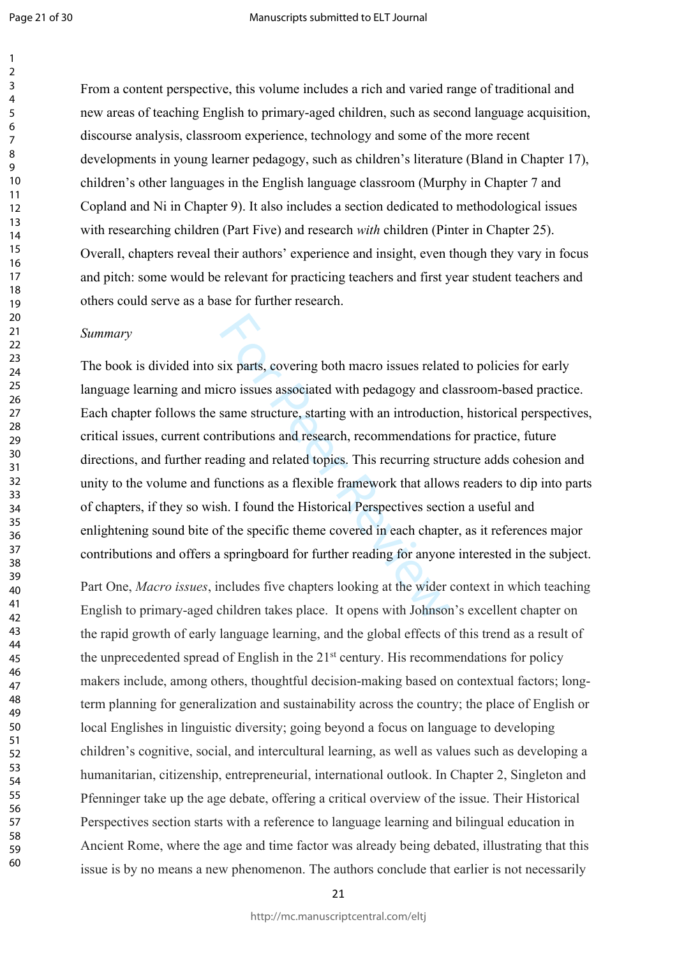60

From a content perspective, this volume includes a rich and varied range of traditional and new areas of teaching English to primary-aged children, such as second language acquisition, discourse analysis, classroom experience, technology and some of the more recent developments in young learner pedagogy, such as children's literature (Bland in Chapter 17), children's other languages in the English language classroom (Murphy in Chapter 7 and Copland and Ni in Chapter 9). It also includes a section dedicated to methodological issues with researching children (Part Five) and research *with* children (Pinter in Chapter 25). Overall, chapters reveal their authors' experience and insight, even though they vary in focus and pitch: some would be relevant for practicing teachers and first year student teachers and others could serve as a base for further research.

#### *Summary*

six parts, covering both macro issues relate<br>cro issues associated with pedagogy and cl<br>same structure, starting with an introductic<br>ntributions and research, recommendations<br>dding and related topics. This recurring stru<br>u The book is divided into six parts, covering both macro issues related to policies for early language learning and micro issues associated with pedagogy and classroom-based practice. Each chapter follows the same structure, starting with an introduction, historical perspectives, critical issues, current contributions and research, recommendations for practice, future directions, and further reading and related topics. This recurring structure adds cohesion and unity to the volume and functions as a flexible framework that allows readers to dip into parts of chapters, if they so wish. I found the Historical Perspectives section a useful and enlightening sound bite of the specific theme covered in each chapter, as it references major contributions and offers a springboard for further reading for anyone interested in the subject.

Part One, *Macro issues*, includes five chapters looking at the wider context in which teaching English to primary-aged children takes place. It opens with Johnson's excellent chapter on the rapid growth of early language learning, and the global effects of this trend as a result of the unprecedented spread of English in the 21st century. His recommendations for policy makers include, among others, thoughtful decision-making based on contextual factors; longterm planning for generalization and sustainability across the country; the place of English or local Englishes in linguistic diversity; going beyond a focus on language to developing children's cognitive, social, and intercultural learning, as well as values such as developing a humanitarian, citizenship, entrepreneurial, international outlook. In Chapter 2, Singleton and Pfenninger take up the age debate, offering a critical overview of the issue. Their Historical Perspectives section starts with a reference to language learning and bilingual education in Ancient Rome, where the age and time factor was already being debated, illustrating that this issue is by no means a new phenomenon. The authors conclude that earlier is not necessarily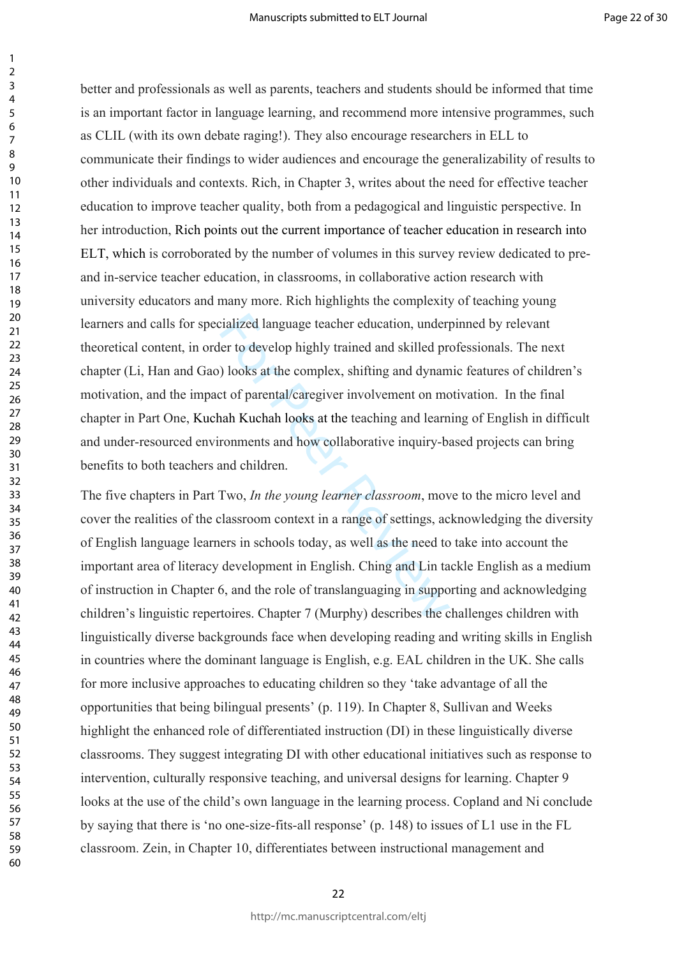ialized language teacher education, underpretent to develop highly trained and skilled proposition of parental/caregiver involvement on moral. Kuchah looks at the teaching and learn ronments and how collaborative inquiry-b better and professionals as well as parents, teachers and students should be informed that time is an important factor in language learning, and recommend more intensive programmes, such as CLIL (with its own debate raging!). They also encourage researchers in ELL to communicate their findings to wider audiences and encourage the generalizability of results to other individuals and contexts. Rich, in Chapter 3, writes about the need for effective teacher education to improve teacher quality, both from a pedagogical and linguistic perspective. In her introduction, Rich points out the current importance of teacher education in research into ELT, which is corroborated by the number of volumes in this survey review dedicated to preand in-service teacher education, in classrooms, in collaborative action research with university educators and many more. Rich highlights the complexity of teaching young learners and calls for specialized language teacher education, underpinned by relevant theoretical content, in order to develop highly trained and skilled professionals. The next chapter (Li, Han and Gao) looks at the complex, shifting and dynamic features of children's motivation, and the impact of parental/caregiver involvement on motivation. In the final chapter in Part One, Kuchah Kuchah looks at the teaching and learning of English in difficult and under-resourced environments and how collaborative inquiry-based projects can bring benefits to both teachers and children.

The five chapters in Part Two, *In the young learner classroom*, move to the micro level and cover the realities of the classroom context in a range of settings, acknowledging the diversity of English language learners in schools today, as well as the need to take into account the important area of literacy development in English. Ching and Lin tackle English as a medium of instruction in Chapter 6, and the role of translanguaging in supporting and acknowledging children's linguistic repertoires. Chapter 7 (Murphy) describes the challenges children with linguistically diverse backgrounds face when developing reading and writing skills in English in countries where the dominant language is English, e.g. EAL children in the UK. She calls for more inclusive approaches to educating children so they 'take advantage of all the opportunities that being bilingual presents' (p. 119). In Chapter 8, Sullivan and Weeks highlight the enhanced role of differentiated instruction (DI) in these linguistically diverse classrooms. They suggest integrating DI with other educational initiatives such as response to intervention, culturally responsive teaching, and universal designs for learning. Chapter 9 looks at the use of the child's own language in the learning process. Copland and Ni conclude by saying that there is 'no one-size-fits-all response' (p. 148) to issues of L1 use in the FL classroom. Zein, in Chapter 10, differentiates between instructional management and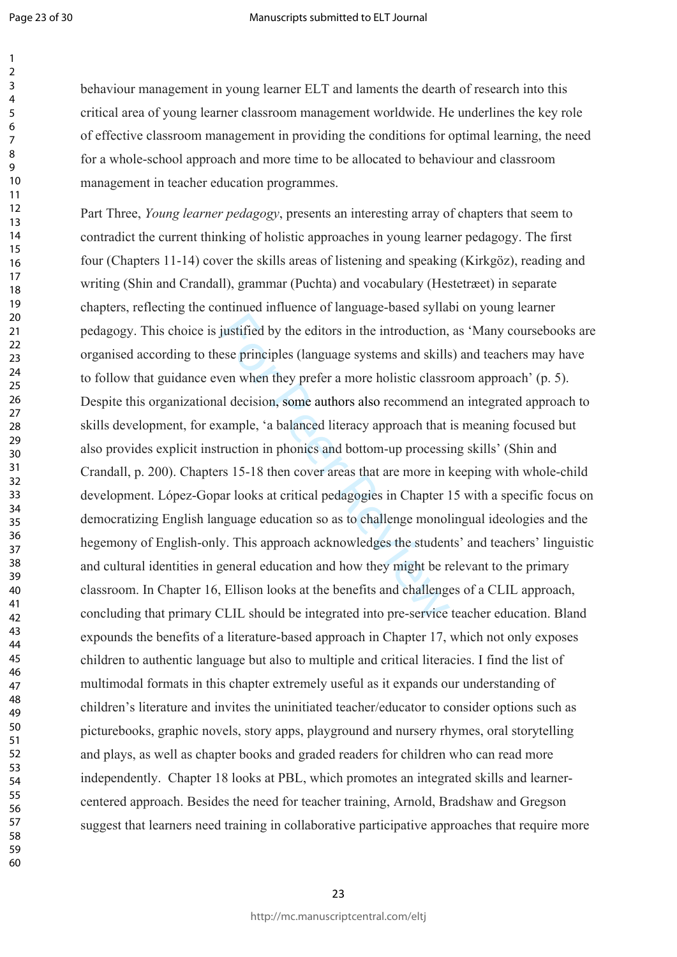60

behaviour management in young learner ELT and laments the dearth of research into this critical area of young learner classroom management worldwide. He underlines the key role of effective classroom management in providing the conditions for optimal learning, the need for a whole-school approach and more time to be allocated to behaviour and classroom management in teacher education programmes.

justified by the editors in the introduction,<br>ese principles (language systems and skills<br>ven when they prefer a more holistic classr<br>al decision, some authors also recommend<br>cample, 'a balanced literacy approach that<br>ruct Part Three, *Young learner pedagogy*, presents an interesting array of chapters that seem to contradict the current thinking of holistic approaches in young learner pedagogy. The first four (Chapters 11-14) cover the skills areas of listening and speaking (Kirkgöz), reading and writing (Shin and Crandall), grammar (Puchta) and vocabulary (Hestetræet) in separate chapters, reflecting the continued influence of language-based syllabi on young learner pedagogy. This choice is justified by the editors in the introduction, as 'Many coursebooks are organised according to these principles (language systems and skills) and teachers may have to follow that guidance even when they prefer a more holistic classroom approach' (p. 5). Despite this organizational decision, some authors also recommend an integrated approach to skills development, for example, 'a balanced literacy approach that is meaning focused but also provides explicit instruction in phonics and bottom-up processing skills' (Shin and Crandall, p. 200). Chapters 15-18 then cover areas that are more in keeping with whole-child development. López-Gopar looks at critical pedagogies in Chapter 15 with a specific focus on democratizing English language education so as to challenge monolingual ideologies and the hegemony of English-only. This approach acknowledges the students' and teachers' linguistic and cultural identities in general education and how they might be relevant to the primary classroom. In Chapter 16, Ellison looks at the benefits and challenges of a CLIL approach, concluding that primary CLIL should be integrated into pre-service teacher education. Bland expounds the benefits of a literature-based approach in Chapter 17, which not only exposes children to authentic language but also to multiple and critical literacies. I find the list of multimodal formats in this chapter extremely useful as it expands our understanding of children's literature and invites the uninitiated teacher/educator to consider options such as picturebooks, graphic novels, story apps, playground and nursery rhymes, oral storytelling and plays, as well as chapter books and graded readers for children who can read more independently. Chapter 18 looks at PBL, which promotes an integrated skills and learnercentered approach. Besides the need for teacher training, Arnold, Bradshaw and Gregson suggest that learners need training in collaborative participative approaches that require more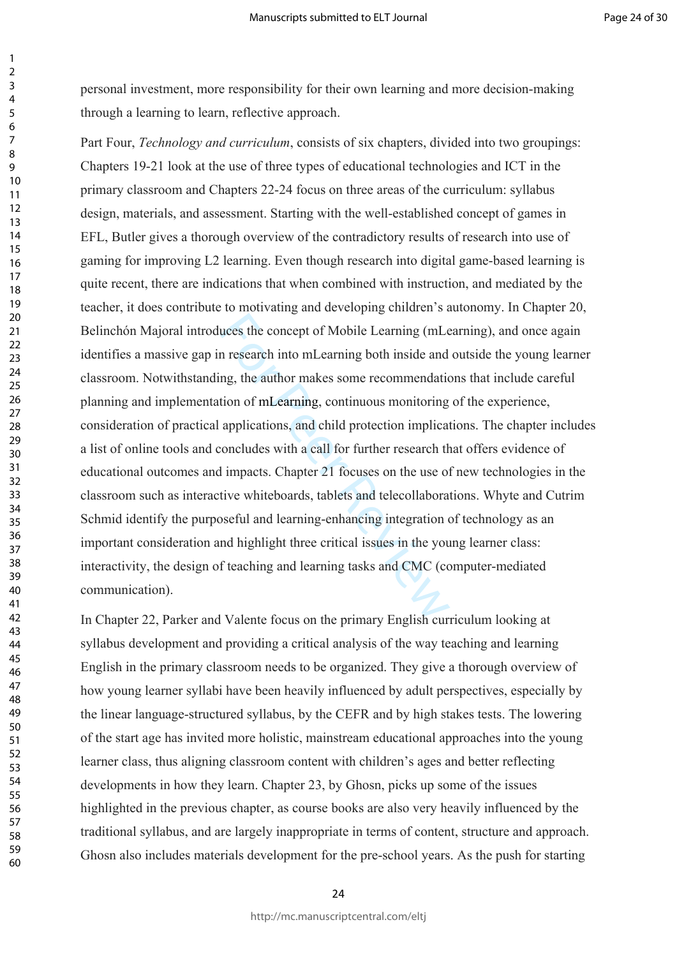personal investment, more responsibility for their own learning and more decision-making through a learning to learn, reflective approach.

uces the concept of Mobile Learning (mLe<br>n research into mLearning both inside and<br>ng, the author makes some recommendatic<br>tion of mLearning, continuous monitoring<br>applications, and child protection implicat<br>concludes with Part Four, *Technology and curriculum*, consists of six chapters, divided into two groupings: Chapters 19-21 look at the use of three types of educational technologies and ICT in the primary classroom and Chapters 22-24 focus on three areas of the curriculum: syllabus design, materials, and assessment. Starting with the well-established concept of games in EFL, Butler gives a thorough overview of the contradictory results of research into use of gaming for improving L2 learning. Even though research into digital game-based learning is quite recent, there are indications that when combined with instruction, and mediated by the teacher, it does contribute to motivating and developing children's autonomy. In Chapter 20, Belinchón Majoral introduces the concept of Mobile Learning (mLearning), and once again identifies a massive gap in research into mLearning both inside and outside the young learner classroom. Notwithstanding, the author makes some recommendations that include careful planning and implementation of mLearning, continuous monitoring of the experience, consideration of practical applications, and child protection implications. The chapter includes a list of online tools and concludes with a call for further research that offers evidence of educational outcomes and impacts. Chapter 21 focuses on the use of new technologies in the classroom such as interactive whiteboards, tablets and telecollaborations. Whyte and Cutrim Schmid identify the purposeful and learning-enhancing integration of technology as an important consideration and highlight three critical issues in the young learner class: interactivity, the design of teaching and learning tasks and CMC (computer-mediated communication).

In Chapter 22, Parker and Valente focus on the primary English curriculum looking at syllabus development and providing a critical analysis of the way teaching and learning English in the primary classroom needs to be organized. They give a thorough overview of how young learner syllabi have been heavily influenced by adult perspectives, especially by the linear language-structured syllabus, by the CEFR and by high stakes tests. The lowering of the start age has invited more holistic, mainstream educational approaches into the young learner class, thus aligning classroom content with children's ages and better reflecting developments in how they learn. Chapter 23, by Ghosn, picks up some of the issues highlighted in the previous chapter, as course books are also very heavily influenced by the traditional syllabus, and are largely inappropriate in terms of content, structure and approach. Ghosn also includes materials development for the pre-school years. As the push for starting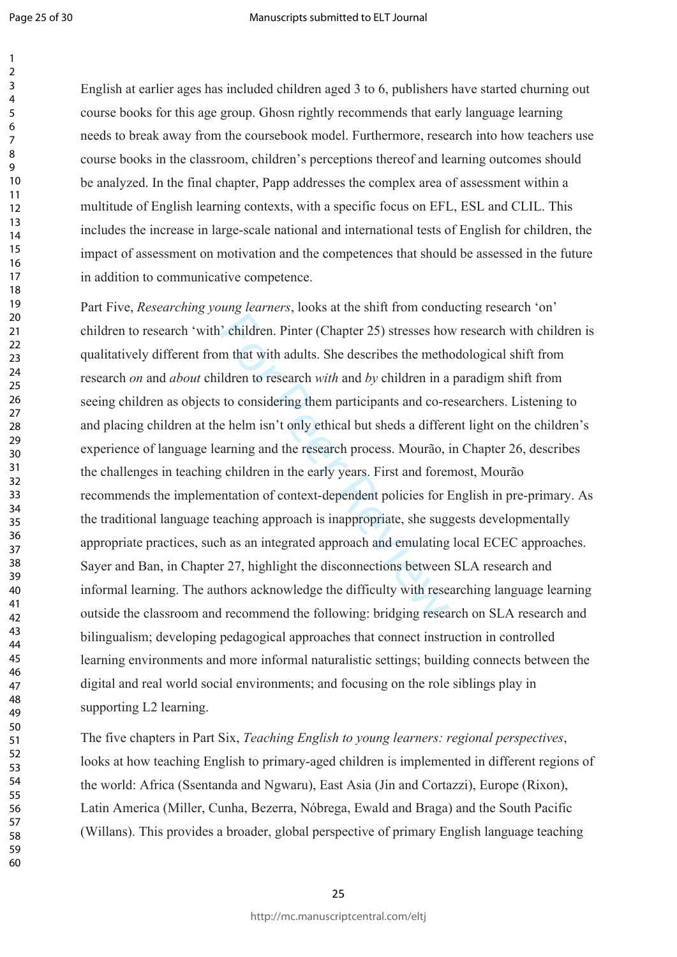60

English at earlier ages has included children aged 3 to 6, publishers have started churning out course books for this age group. Ghosn rightly recommends that early language learning needs to break away from the coursebook model. Furthermore, research into how teachers use course books in the classroom, children's perceptions thereof and learning outcomes should be analyzed. In the final chapter, Papp addresses the complex area of assessment within a multitude of English learning contexts, with a specific focus on EFL, ESL and CLIL. This includes the increase in large-scale national and international tests of English for children, the impact of assessment on motivation and the competences that should be assessed in the future in addition to communicative competence.

*Chapter 25)* stresses how that with adults. She describes the method<br>idren to research *with* and *by* children in a to considering them participants and co-re<br>e helm isn't only ethical but sheds a different arming and t Part Five, *Researching young learners*, looks at the shift from conducting research 'on' children to research 'with' children. Pinter (Chapter 25) stresses how research with children is qualitatively different from that with adults. She describes the methodological shift from research *on* and *about* children to research *with* and *by* children in a paradigm shift from seeing children as objects to considering them participants and co-researchers. Listening to and placing children at the helm isn't only ethical but sheds a different light on the children's experience of language learning and the research process. Mourão, in Chapter 26, describes the challenges in teaching children in the early years. First and foremost, Mourão recommends the implementation of context-dependent policies for English in pre-primary. As the traditional language teaching approach is inappropriate, she suggests developmentally appropriate practices, such as an integrated approach and emulating local ECEC approaches. Sayer and Ban, in Chapter 27, highlight the disconnections between SLA research and informal learning. The authors acknowledge the difficulty with researching language learning outside the classroom and recommend the following: bridging research on SLA research and bilingualism; developing pedagogical approaches that connect instruction in controlled learning environments and more informal naturalistic settings; building connects between the digital and real world social environments; and focusing on the role siblings play in supporting L2 learning.

The five chapters in Part Six, *Teaching English to young learners: regional perspectives*, looks at how teaching English to primary-aged children is implemented in different regions of the world: Africa (Ssentanda and Ngwaru), East Asia (Jin and Cortazzi), Europe (Rixon), Latin America (Miller, Cunha, Bezerra, Nóbrega, Ewald and Braga) and the South Pacific (Willans). This provides a broader, global perspective of primary English language teaching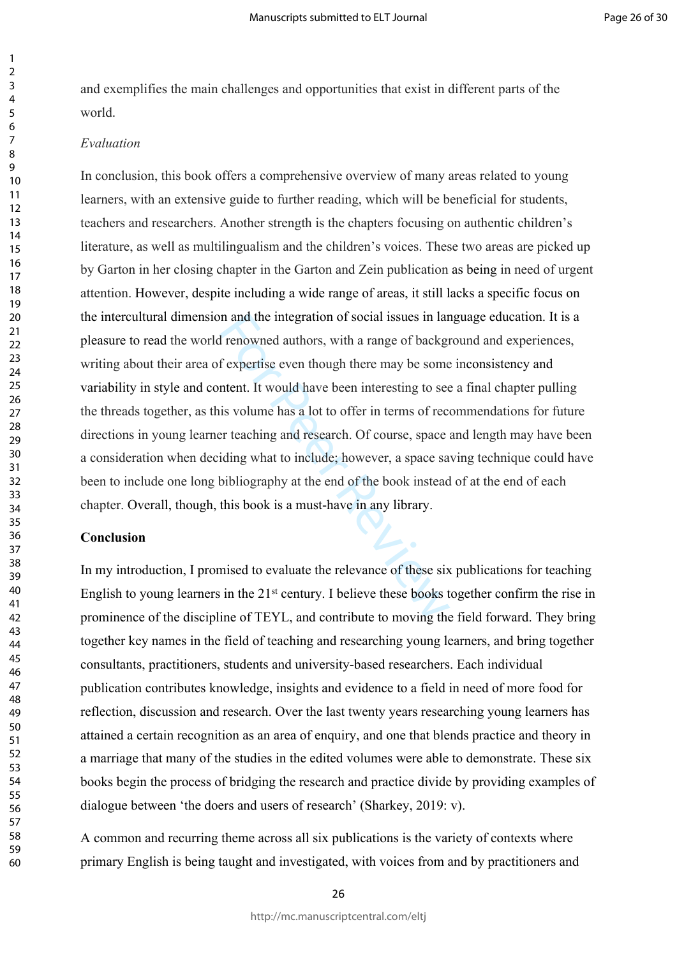and exemplifies the main challenges and opportunities that exist in different parts of the world.

### *Evaluation*

In and the integration of social issues in lart if renowned authors, with a range of backgraph are expertise even though there may be some ntent. It would have been interesting to see is volume has a lot to offer in terms In conclusion, this book offers a comprehensive overview of many areas related to young learners, with an extensive guide to further reading, which will be beneficial for students, teachers and researchers. Another strength is the chapters focusing on authentic children's literature, as well as multilingualism and the children's voices. These two areas are picked up by Garton in her closing chapter in the Garton and Zein publication as being in need of urgent attention. However, despite including a wide range of areas, it still lacks a specific focus on the intercultural dimension and the integration of social issues in language education. It is a pleasure to read the world renowned authors, with a range of background and experiences, writing about their area of expertise even though there may be some inconsistency and variability in style and content. It would have been interesting to see a final chapter pulling the threads together, as this volume has a lot to offer in terms of recommendations for future directions in young learner teaching and research. Of course, space and length may have been a consideration when deciding what to include; however, a space saving technique could have been to include one long bibliography at the end of the book instead of at the end of each chapter. Overall, though, this book is a must-have in any library.

#### **Conclusion**

In my introduction, I promised to evaluate the relevance of these six publications for teaching English to young learners in the 21st century. I believe these books together confirm the rise in prominence of the discipline of TEYL, and contribute to moving the field forward. They bring together key names in the field of teaching and researching young learners, and bring together consultants, practitioners, students and university-based researchers. Each individual publication contributes knowledge, insights and evidence to a field in need of more food for reflection, discussion and research. Over the last twenty years researching young learners has attained a certain recognition as an area of enquiry, and one that blends practice and theory in a marriage that many of the studies in the edited volumes were able to demonstrate. These six books begin the process of bridging the research and practice divide by providing examples of dialogue between 'the doers and users of research' (Sharkey, 2019: v).

A common and recurring theme across all six publications is the variety of contexts where primary English is being taught and investigated, with voices from and by practitioners and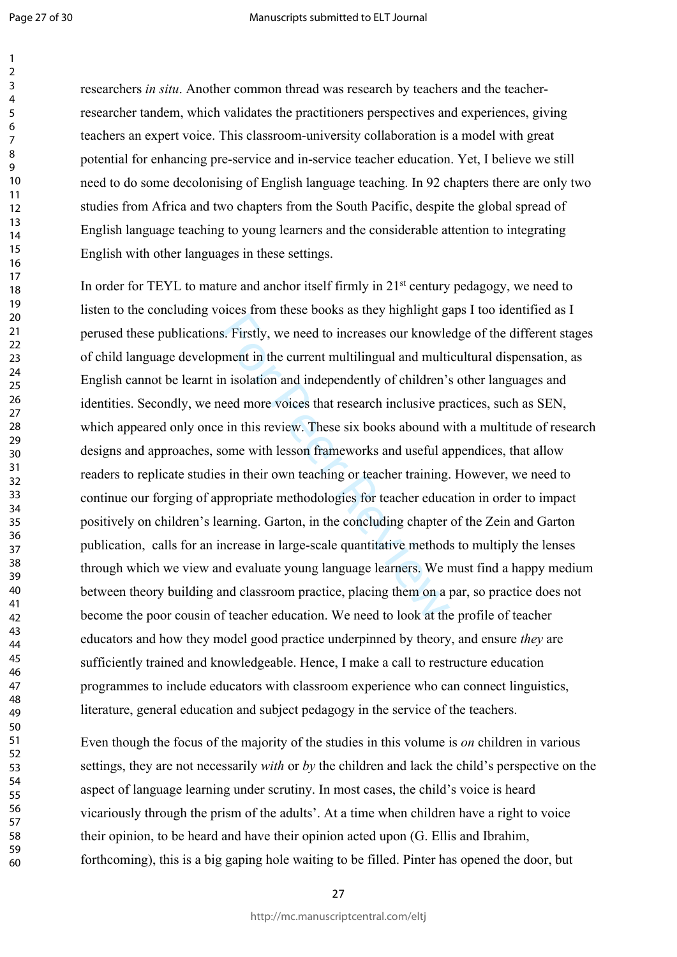60

researchers *in situ*. Another common thread was research by teachers and the teacherresearcher tandem, which validates the practitioners perspectives and experiences, giving teachers an expert voice. This classroom-university collaboration is a model with great potential for enhancing pre-service and in-service teacher education. Yet, I believe we still need to do some decolonising of English language teaching. In 92 chapters there are only two studies from Africa and two chapters from the South Pacific, despite the global spread of English language teaching to young learners and the considerable attention to integrating English with other languages in these settings.

s. Firstly, we need to increases our knowled means of the material and multi-<br>in isolation and independently of children's<br>eed more voices that research inclusive pr<br>e in this review. These six books abound w<br>some with les In order for TEYL to mature and anchor itself firmly in  $21<sup>st</sup>$  century pedagogy, we need to listen to the concluding voices from these books as they highlight gaps I too identified as I perused these publications. Firstly, we need to increases our knowledge of the different stages of child language development in the current multilingual and multicultural dispensation, as English cannot be learnt in isolation and independently of children's other languages and identities. Secondly, we need more voices that research inclusive practices, such as SEN, which appeared only once in this review. These six books abound with a multitude of research designs and approaches, some with lesson frameworks and useful appendices, that allow readers to replicate studies in their own teaching or teacher training. However, we need to continue our forging of appropriate methodologies for teacher education in order to impact positively on children's learning. Garton, in the concluding chapter of the Zein and Garton publication, calls for an increase in large-scale quantitative methods to multiply the lenses through which we view and evaluate young language learners. We must find a happy medium between theory building and classroom practice, placing them on a par, so practice does not become the poor cousin of teacher education. We need to look at the profile of teacher educators and how they model good practice underpinned by theory, and ensure *they* are sufficiently trained and knowledgeable. Hence, I make a call to restructure education programmes to include educators with classroom experience who can connect linguistics, literature, general education and subject pedagogy in the service of the teachers.

Even though the focus of the majority of the studies in this volume is *on* children in various settings, they are not necessarily *with* or *by* the children and lack the child's perspective on the aspect of language learning under scrutiny. In most cases, the child's voice is heard vicariously through the prism of the adults'. At a time when children have a right to voice their opinion, to be heard and have their opinion acted upon (G. Ellis and Ibrahim, forthcoming), this is a big gaping hole waiting to be filled. Pinter has opened the door, but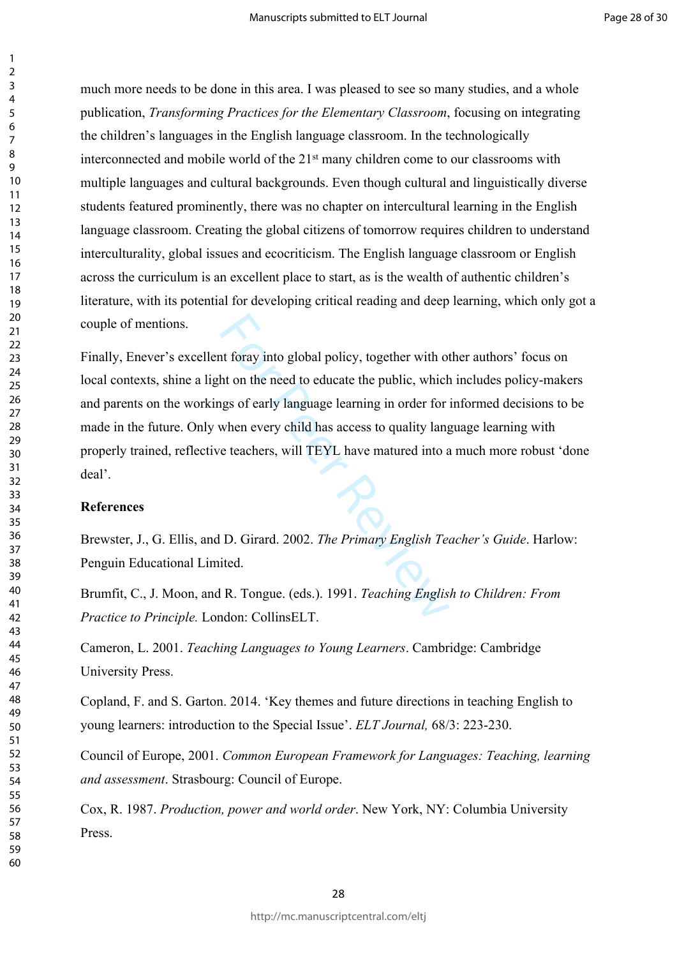much more needs to be done in this area. I was pleased to see so many studies, and a whole publication, *Transforming Practices for the Elementary Classroom*, focusing on integrating the children's languages in the English language classroom. In the technologically interconnected and mobile world of the 21st many children come to our classrooms with multiple languages and cultural backgrounds. Even though cultural and linguistically diverse students featured prominently, there was no chapter on intercultural learning in the English language classroom. Creating the global citizens of tomorrow requires children to understand interculturality, global issues and ecocriticism. The English language classroom or English across the curriculum is an excellent place to start, as is the wealth of authentic children's literature, with its potential for developing critical reading and deep learning, which only got a couple of mentions.

nt foray into global policy, together with of<br>the on the need to educate the public, which<br>the on the need to educate the public, which<br>when every child has access to quality lang<br>e teachers, will TEYL have matured into a<br> Finally, Enever's excellent foray into global policy, together with other authors' focus on local contexts, shine a light on the need to educate the public, which includes policy-makers and parents on the workings of early language learning in order for informed decisions to be made in the future. Only when every child has access to quality language learning with properly trained, reflective teachers, will TEYL have matured into a much more robust 'done deal'.

### **References**

Brewster, J., G. Ellis, and D. Girard. 2002. *The Primary English Teacher's Guide*. Harlow: Penguin Educational Limited.

Brumfit, C., J. Moon, and R. Tongue. (eds.). 1991. *Teaching English to Children: From Practice to Principle.* London: CollinsELT.

Cameron, L. 2001. *Teaching Languages to Young Learners*. Cambridge: Cambridge University Press.

Copland, F. and S. Garton. 2014. 'Key themes and future directions in teaching English to young learners: introduction to the Special Issue'. *ELT Journal,* 68/3: 223-230.

Council of Europe, 2001. *Common European Framework for Languages: Teaching, learning and assessment*. Strasbourg: Council of Europe.

Cox, R. 1987. *Production, power and world order*. New York, NY: Columbia University Press.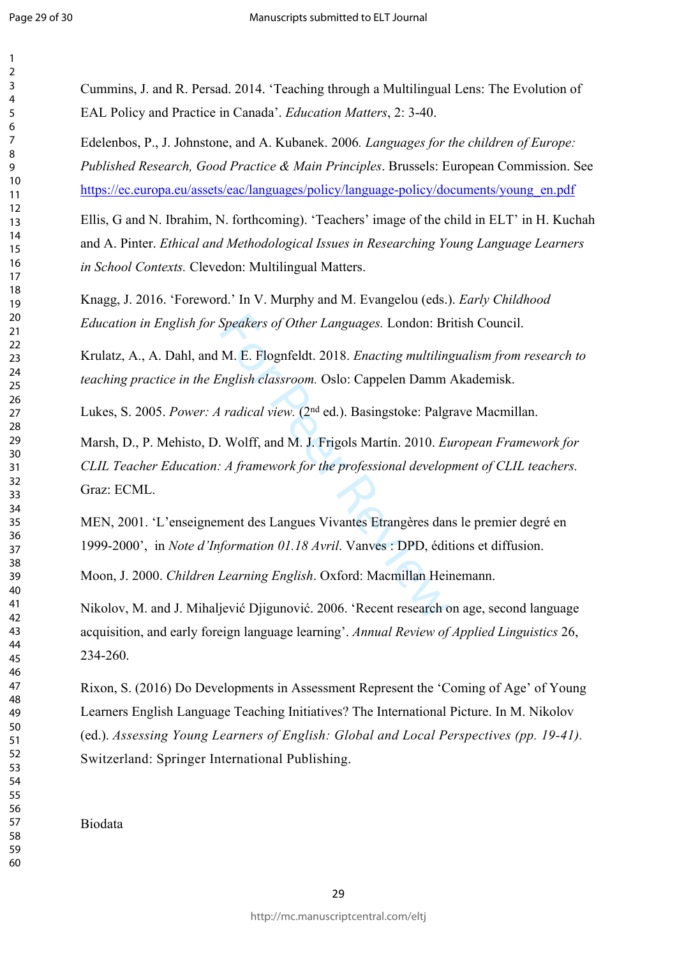$\mathbf{1}$  $\overline{2}$ 

Cummins, J. and R. Persad. 2014. 'Teaching through a Multilingual Lens: The Evolution of EAL Policy and Practice in Canada'. *Education Matters*, 2: 3-40.

Edelenbos, P., J. Johnstone, and A. Kubanek. 2006*. Languages for the children of Europe: Published Research, Good Practice & Main Principles*. Brussels: European Commission. See [https://ec.europa.eu/assets/eac/languages/policy/language-policy/documents/young\\_en.pdf](https://ec.europa.eu/assets/eac/languages/policy/language-policy/documents/young_en.pdf)

Ellis, G and N. Ibrahim, N. forthcoming). 'Teachers' image of the child in ELT' in H. Kuchah and A. Pinter. *Ethical and Methodological Issues in Researching Young Language Learners in School Contexts.* Clevedon: Multilingual Matters.

Knagg, J. 2016. 'Foreword.' In V. Murphy and M. Evangelou (eds.). *Early Childhood Education in English for Speakers of Other Languages.* London: British Council.

Krulatz, A., A. Dahl, and M. E. Flognfeldt. 2018. *Enacting multilingualism from research to teaching practice in the English classroom.* Oslo: Cappelen Damm Akademisk.

Lukes, S. 2005. *Power: A radical view.* (2nd ed.). Basingstoke: Palgrave Macmillan.

Speakers of Other Languages. London: Br<br>M. E. Flognfeldt. 2018. *Enacting multiling*<br>Inglish classroom. Oslo: Cappelen Damm<br>I radical view. (2<sup>nd</sup> ed.). Basingstoke: Palg<br>Wolff, and M. J. Frigols Martín. 2010. *En*<br>A frame Marsh, D., P. Mehisto, D. Wolff, and M. J. Frigols Martín. 2010. *European Framework for CLIL Teacher Education: A framework for the professional development of CLIL teachers.* Graz: ECML.

MEN, 2001. 'L'enseignement des Langues Vivantes Etrangères dans le premier degré en 1999-2000', in *Note d'Information 01.18 Avril*. Vanves : DPD, éditions et diffusion.

Moon, J. 2000. *Children Learning English*. Oxford: Macmillan Heinemann.

Nikolov, M. and J. Mihaljević Djigunović. 2006. 'Recent research on age, second language acquisition, and early foreign language learning'. *Annual Review of Applied Linguistics* 26, 234-260.

Rixon, S. (2016) Do Developments in Assessment Represent the 'Coming of Age' of Young Learners English Language Teaching Initiatives? The International Picture. In M. Nikolov (ed.). *Assessing Young Learners of English: Global and Local Perspectives (pp. 19-41).*  Switzerland: Springer International Publishing.

Biodata